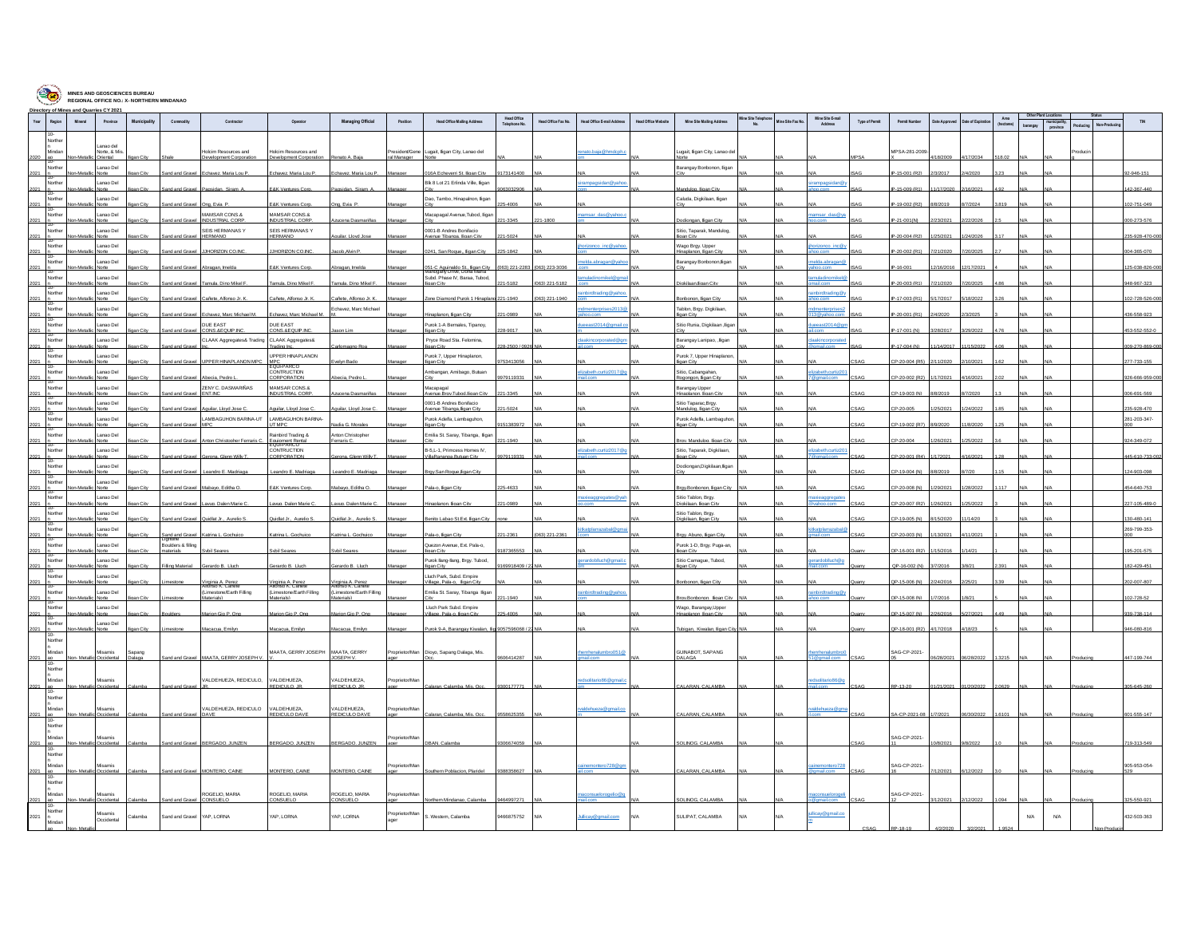| <b>Service</b>                    | Directory of Mines and Quarries CY 2021 |                          | <b>REGIONAL OFFICE NO.: X-NORTHERN MINDANAO</b> |                                              |                                                                              |                                                                                 |                                                                               |                     |                                                                                                 |                              |                               |                            |                     |                                                           |                           |                  |                             |                       |                      |              |                 |      |            |                |
|-----------------------------------|-----------------------------------------|--------------------------|-------------------------------------------------|----------------------------------------------|------------------------------------------------------------------------------|---------------------------------------------------------------------------------|-------------------------------------------------------------------------------|---------------------|-------------------------------------------------------------------------------------------------|------------------------------|-------------------------------|----------------------------|---------------------|-----------------------------------------------------------|---------------------------|------------------|-----------------------------|-----------------------|----------------------|--------------|-----------------|------|------------|----------------|
| Year<br>Region                    | Mineral                                 | Province                 | Municipality                                    | Commodity                                    | Contractor                                                                   | Operator                                                                        | <b>Managing Official</b>                                                      | Position            | <b>Head Office Mailing Address</b>                                                              | Head Office<br>Telephone No. | Head Office Fax No.           | Head Office E-mail Address | Head Office Website | Mine Site Mailing Address                                 | fine Site Telephor<br>No. | Mine Site Fax No | Mine Site E-mail<br>Address | <b>Type of Permit</b> | <b>Permit Number</b> | Date Approve | Jate of Expirat | Area |            |                |
| $10-$<br>Norther                  |                                         |                          |                                                 |                                              |                                                                              |                                                                                 |                                                                               |                     |                                                                                                 |                              |                               |                            |                     |                                                           |                           |                  |                             |                       |                      |              |                 |      |            |                |
| Minda                             |                                         | Lanao de<br>Norte, & Mis |                                                 |                                              | folcim Resources and                                                         | olcim Resources and                                                             |                                                                               | esident/Gene        | Lugait, ligan City, Lanao del                                                                   |                              |                               | to.baja@hmd                |                     | ugait, ligan City, Lanao d                                |                           |                  |                             |                       | MPSA-281-2009        |              |                 |      |            |                |
| Norther                           |                                         | Lanao Del                |                                                 |                                              |                                                                              |                                                                                 |                                                                               | al Manager          |                                                                                                 |                              |                               |                            |                     | Barangay Bonbonon, ligar                                  |                           |                  |                             |                       |                      |              |                 |      |            |                |
| lo-                               |                                         | Lanan Del                |                                                 | nd and Grave                                 | Fchavez Maria Lou F                                                          | chavez Maria Lou F                                                              | chavez Maria Loui                                                             |                     | 16A Echeverri St. linan Cit<br>Blk 8 Lot 21 Erlinda Ville, ligan                                | 3141400                      |                               |                            |                     |                                                           |                           |                  |                             |                       | IP-15-001 (R2)       | 3/2017       |                 |      |            | -946-151       |
| Norther<br>ਨ-                     |                                         | Norte                    |                                                 | and and Graw                                 | ıqsidan, Siram                                                               | <b>&amp;K Ventures C</b>                                                        |                                                                               |                     |                                                                                                 |                              |                               | irampagsidan@yah           |                     | andulog, lligan C                                         |                           |                  | <b>irampagsidan@</b>        |                       | -15-009 (R1)         |              |                 |      |            | 2-367-440      |
| Norther<br>2021<br>$\overline{0}$ |                                         | Lanao Del<br>Norte       |                                                 | and and Gravel                               | Ong, Evia P                                                                  | &K Ventures Core                                                                | Ing, Evia P                                                                   |                     | Dao, Tambo, Hinapalnon, lligan                                                                  | -4006                        |                               |                            |                     | Caluda, Digkilaan, ligan                                  |                           |                  |                             |                       | P-19-002 (R2)        | 3/2019       | 7/2024          | 819  |            | 02-751-049     |
| Norther                           |                                         | Lanao Del                |                                                 |                                              | MAMSAR CONS &<br><b>NDUSTRIAL CO</b>                                         | <b>MAMSAR CONS &amp;</b><br><b>DUSTRIAL COR</b>                                 |                                                                               |                     | Macapagal Avenue.Tubod, lliga                                                                   |                              |                               | msar_das@yah               |                     |                                                           |                           |                  | msar das@va                 |                       | 1-0010               |              |                 |      |            | $-273 - 576$   |
| $\frac{1}{10}$<br>Norther         |                                         | Lanao Del                |                                                 |                                              | SEIS HERMANAS Y                                                              | SEIS HERMANAS Y                                                                 |                                                                               |                     | 0001-B Andres Bonifacio                                                                         |                              |                               |                            |                     | Sitio, Taparak, Mandulog,                                 |                           |                  |                             |                       |                      |              |                 |      |            |                |
| 2021<br>Norther                   |                                         | Norte<br>Lanao Del       |                                                 | and and Grave                                | <b>HERMANO</b>                                                               | <b>HERMANO</b>                                                                  | quilar, Lloyd Jos                                                             |                     | Avenue Tibanga, lligan City                                                                     | 21-5024                      |                               | orizonco inc@val           |                     | ligan City<br>Wago Brgy, Upper                            |                           |                  | orizonco inc@               |                       | IP-20-004 (R2)       | 25/2021      | 24/202          |      |            | 235-928-470-00 |
| 2021<br>Խ-                        |                                         | Norte                    |                                                 | nd and Graw                                  | JHORIZON CO.INC                                                              | <b>UHORIZON CO.N</b>                                                            | ob.AMn F                                                                      |                     | 1241, San Roque,, lligan Cit                                                                    | 25-1842                      |                               |                            |                     | naplanon, lligan Ci                                       |                           |                  |                             |                       | $-20 - 002$ (R)      |              |                 |      |            | 14-365-070     |
| Norther<br>2021                   |                                         | Lanao Del<br>Norte       |                                                 | and and Gravel                               | Abragan, Imelda                                                              | E&K Ventures Cort                                                               | bragan, Imelda                                                                |                     | 051-C Aquinaldo St., Iligan City<br>Mahogany Drive, Doña Maria<br>Subd. Phase IV, Baraa, Tubod, |                              | (063) 221-2283 (063) 223-3036 | w@naganas.able             |                     | Barangay Bonbonon, ligar                                  |                           |                  | da.abragan@                 |                       | P-16-001             | 2/16/2016    | 2/17/2021       |      |            | 25-038-826-00  |
| Norther<br>h.                     |                                         | Lanao Del                |                                                 | <b>In and Grave</b>                          | amula Dino Mikel F                                                           | amula Dino Mikel                                                                | mula Dino Mikel F                                                             |                     |                                                                                                 |                              | 63) 221-5182                  | nuladinomikel@             |                     | ilgan lingn Ci                                            |                           |                  | <b>uladinomike</b>          |                       | 20-003 (R)           |              |                 |      |            | 18-967-323     |
| Norther                           |                                         | Lanao Del                |                                                 | nd and Gray                                  | añete. Alfonso Jr                                                            |                                                                                 |                                                                               |                     | one Diamond Purok 1 Hing                                                                        | 21-1940                      | (63) 221-1940                 | rading@v                   |                     |                                                           |                           |                  | birdtrading@                |                       | 17-003 (             |              |                 |      |            | 2-728-526      |
| Norther                           |                                         | Lanao Del                |                                                 |                                              |                                                                              |                                                                                 | Echavez, Marc Michael                                                         |                     |                                                                                                 |                              |                               | dmenterprises2013          |                     | Tablon, Brgy. Digkilaan,                                  |                           |                  | menterprises:               |                       |                      |              |                 |      |            |                |
| ਨ-<br>Norther                     |                                         | Lanao Del                |                                                 | nd and Gray                                  | havez Marc Michael I<br>DUE FAST                                             | havez. Marc Michael I<br>DUE FAST                                               |                                                                               |                     | <b>Boso Cit</b><br>Purok 1-A Bernales, Tipanoy,                                                 |                              |                               | eeast2014@gma              |                     | inan Ci<br>Sitio Runia, Digkilaan ,ligar                  |                           |                  | eeast2014@gi                |                       | P-20-001 (R1         |              |                 |      |            | 36-558-923     |
| 2021<br>ᡰᡵ.                       |                                         | Norte                    |                                                 | nd and Graw                                  | CONS.&EQUP.IN                                                                | CONS.&EQUIP.IN                                                                  |                                                                               |                     | ligan City                                                                                      | 3-9017                       |                               |                            |                     |                                                           |                           |                  |                             |                       | P-17-001 (N)         | 28/2017      | 29/2022         |      |            | 53-552-552-0   |
| Norther<br>2021<br>in-            |                                         | Lanao Del                |                                                 | vi and Gra                                   | CLAAK Aggregates& Trading                                                    | CLAAK Aggregates&<br>ading In                                                   |                                                                               |                     | Pryce Road Sta. Felomina,                                                                       |                              |                               | aakincorporated@           |                     | Barangay Lanipao, ,lligar                                 |                           |                  | akincorporat                |                       | $-17 - 004$ (N       | 14/201       |                 |      |            | 9-270-869-0    |
| Norther                           |                                         | Lanao Del                |                                                 | and and Gravel                               | UPPER HINAPLANON MPC                                                         | UPPER HINAPLANON<br>MPC<br>EQUI-PARCO                                           |                                                                               |                     | Purok 7, Upper Hinaplanon,                                                                      | 3413056                      |                               |                            |                     | Purok 7, Upper Hinaplanor<br>igan Cit                     |                           |                  |                             |                       | P-20-004 (R)         |              |                 |      |            | 77-733-155     |
| Vorther<br>2021                   |                                         | Lanao Del<br>Norte       |                                                 | and and Gravel                               | Aheria Pedro I                                                               | CONTRUCTION<br>CRPORATION                                                       | Ahecia Pedro I                                                                |                     | Ambangan, Amibago, Butuan                                                                       | 79119331                     |                               | izabeth.curtiz2017         |                     | Sitio, Cabangahan,<br>Rogongon, Easn City                 |                           |                  | zabeth.curtiz20             |                       | CP-20-002 (R2)       | 17/2021      | 16/202          |      |            | 0-020-288-28   |
| io-<br>Norther                    |                                         | Lanao Del                |                                                 |                                              | ZENY C. DASMARIÑAS                                                           | MAMSAR CONS.&                                                                   |                                                                               |                     | Macapagal                                                                                       |                              |                               |                            |                     | Barangay Upper                                            |                           |                  |                             |                       |                      |              |                 |      |            |                |
| 2021<br>'n.                       |                                         | Norte<br>Lanao Del       |                                                 | and and Gravel                               | ENT.NO                                                                       | NDUSTRIAL CORP                                                                  | zucena Dasmariña                                                              |                     | Avenue.Brav.Tubod.lligan City<br>0001-B Andres Bonifacio                                        | 21-3345                      |                               |                            |                     | Inaplanon, ligan City<br>Sitio Taparac, Brgy.             |                           |                  |                             |                       | CP-19-003 (N)        | 8/2019       | 7/202           |      |            | 06-691-569     |
| Norther<br>io-                    |                                         |                          |                                                 |                                              |                                                                              | uilar. Lloyd Jos                                                                |                                                                               |                     | venue Tibanga.lligan Ci                                                                         |                              |                               |                            |                     |                                                           |                           |                  |                             |                       |                      |              |                 |      |            | 5-928-47       |
| Norther<br>'n.                    |                                         | Lanao Del                |                                                 |                                              | LAMBAGUHON BARINA-UT                                                         | LAMBAGUHON BARINA-<br><b>TMPC</b>                                               | ia G. Mora                                                                    |                     | Purok Adelfa, Lambaguhon,                                                                       | 38307                        |                               |                            |                     | Purok Adelfa, Lambaguhor<br>an City                       |                           |                  |                             |                       | <b>P.19.002 (R</b>   |              |                 |      |            | 281-203-347-   |
| Norther<br>2021                   |                                         | Lanao Del<br>Norte       |                                                 |                                              | and and Gravel Anton Christopher Ferraris C                                  | Rainbird Trading &                                                              | Anton Christopher<br>arraris (°                                               |                     | Emilia St. Saray, Tibanga, Iligar                                                               | $-1940$                      |                               |                            |                     | <b>Rmy Mandulon Jinan City</b>                            |                           |                  |                             |                       | P-20-004             | 26/202       | 5/20            |      |            | 124-349-072    |
| Norther                           |                                         | Lanao Del                |                                                 |                                              |                                                                              | Fournment Rental<br>CONTRUCTION                                                 |                                                                               |                     | B-5,L-1, Primcess Homes IV,                                                                     |                              |                               | izabeth.curtiz2017@        |                     | Sitio, Taparak, Digkilaan,                                |                           |                  | zabeth.curtiz20             |                       |                      |              |                 |      |            |                |
| 2021<br>io-<br>Norther            |                                         | Norte<br>Lanao Del       |                                                 | and and Gravel                               | Gerona. Glenn Willy                                                          | CORPORATION                                                                     | Serona. Glenn Willy                                                           |                     | VillaRananga.Butuan City                                                                        | 979119331                    |                               |                            |                     | <b>Iigan City</b><br>Dodiongan, Digkilaan, lligar         |                           |                  |                             |                       | CP-20-001 (R4)       | 172021       | 16/2021         |      |            | 145-610-733-   |
| $\overline{a}$                    |                                         | lorte                    |                                                 | and and Gray                                 | andro E. Madria                                                              | eandro E. Madria                                                                | indro E. Madri                                                                |                     | rov.San Roque.ligan Cit                                                                         |                              |                               |                            |                     |                                                           |                           |                  |                             |                       | P-19-004 (f)         |              |                 |      |            | 24-903-09      |
| Norther<br>2021                   |                                         | Lanao Del<br>Norte       |                                                 | nd and Grave                                 | abavo, Editha O.                                                             | <b>E&amp;K Ventures Co.</b>                                                     | abavo, Editha C                                                               |                     | Pala-o, lligan Cit                                                                              | 25-4633                      |                               |                            |                     | trav.Bonbonon, li gan C                                   |                           |                  |                             |                       | P-20-008 (N          | 29/2021      |                 |      |            | 154-640-753    |
| Norther<br>2021                   |                                         | Lanao Del<br>Norte       |                                                 | and and Grave                                | avug. Dalen Marie C                                                          | avug. Dalen Marie                                                               | avug. Dalen Marie O                                                           |                     | Hinaplanon, Iligan City                                                                         | 21-0989                      |                               | oi eaggregates@            |                     | Sitio Tablon, Brov<br>iokilaan. Ilioan Cit                |                           |                  |                             |                       | CP-20-007 (R2)       | 26/2021      | 25/2022         |      |            | 7-105-489-0    |
| Norther<br>2021                   |                                         | Lanao Del<br>Norte       | an Cit                                          | Sand and Gravel                              | Quidiat Jr., Aurelio S                                                       | Quidiat Jr., Aurelio S.                                                         | Quidiat Jr Aurelio S                                                          |                     | Benito Labao St.Ext. lligan City                                                                |                              |                               |                            |                     | Sitio Tablon, Brgy.<br>Digkilaan. Iligan City             |                           |                  |                             |                       | CP-19-005 (N)        | /15/2020     | 1/14/20         |      |            | 30-480-141     |
| io-<br>Norther                    |                                         | Lanao Del                |                                                 |                                              |                                                                              |                                                                                 |                                                                               |                     |                                                                                                 |                              |                               | tkatolarrazabal@g          |                     |                                                           |                           |                  | itkatolarraz                |                       |                      |              |                 |      |            | 269-799-353-   |
| —<br>Norther                      |                                         | Lanao Del                |                                                 | Sand and Gra<br>Jgntine<br>oulders & filling |                                                                              | na L. Coch                                                                      | ia L. Coch                                                                    |                     | Quezon Avenue, Ext. Pala-o,                                                                     | $220 -$                      | <b>0631221-2361</b>           |                            |                     | $\sim$ $\Delta$ <sub>N</sub><br>Purok 1-D, Brgy. Puga-an, |                           |                  |                             |                       |                      |              |                 |      |            |                |
| 2021                              |                                         | Norte                    |                                                 | erials                                       |                                                                              |                                                                                 | Woll Seare                                                                    |                     | igan City                                                                                       |                              |                               |                            |                     | aan City                                                  |                           |                  |                             |                       | P-16-001 (R          |              |                 |      |            | 35-201-575     |
| Norther<br>2021                   |                                         | Lanao Del<br>Norte       |                                                 | illing Material                              | Serardo B. Lluch                                                             | Serardo B. Lluch                                                                | erardo B. Lluch                                                               |                     | Purok llang-llang, Brgy. Tubod,<br>linan Cit                                                    | 69918409/                    |                               | erardoblluch@gma           |                     | Sitio Camague, Tubod,<br>ligan City                       |                           |                  | erardoblluch@c              |                       | QP-16-002 (N)        | 7/2016       |                 |      |            | 182-429-451    |
| Norther<br>2021                   |                                         | Lanao Del<br>Norte       |                                                 |                                              |                                                                              |                                                                                 |                                                                               |                     | Lluch Park, Subd. Empire<br>Village, Pala-o. lligan Cit                                         |                              |                               |                            |                     | Bonbonon, Iliaan Cit                                      |                           |                  |                             |                       | P-15-006 (           |              |                 |      |            | 2-007-80       |
| Norther<br>2021                   |                                         | Lanao Del                |                                                 |                                              | Virginia A. Perez<br>Alfonso K. Cañete<br>Limestone/Earth Filling<br>(aloha) | Virginia A. Perez<br>Alfonso K. Cañete<br>(Limestone/Earth Filling<br>lari aleh | Virginia A. Perez<br>Alfonso K. Cañete<br>(Limestone/Earth Filing<br>ari ale' |                     | Emilia St. Saray, Tibanga Iligan                                                                | $-1940$                      |                               | ainbirdtrading@yaho        |                     | ray Bonbonon Jinan C                                      |                           |                  | inbirdtrading@              |                       | 3P-15-008 (N)        |              | 8/21            |      |            | 02-728-52      |
| v.<br>Norther                     |                                         | Lanao Del                |                                                 |                                              |                                                                              |                                                                                 |                                                                               |                     | Lluch Park Subd. Empire                                                                         |                              |                               |                            |                     | Wago, Barangay, Upper<br>Hinaplanon Iligan City           |                           |                  |                             |                       |                      |              |                 |      |            |                |
| ь.                                |                                         | Norte<br>Lanao Del       |                                                 |                                              | rion Gio P. Ong                                                              | rion Gio P. Ong                                                                 | trion Gio P. On                                                               |                     | 'illage, Pala-o, lligan Cit                                                                     |                              |                               |                            |                     |                                                           |                           |                  |                             |                       | $-15-007$ (N         |              |                 |      |            | 39-738-114     |
| Vorther<br>2021                   |                                         | Norte                    | an Ci                                           | nestone                                      | Aacacua, Emilyn                                                              | acacua, Emily                                                                   | Macacua, Emilyn                                                               |                     | Purok 9-A. Barangay Kiwalan. lig 9057596068 / 22 N                                              |                              |                               |                            |                     | Tubigan, Kiwalan, Iligan Cit                              |                           |                  |                             |                       | QP-18-001 (R2)       | 4/17/2018    | 4/18/23         |      |            | 46-080-816     |
| Vorther                           |                                         |                          |                                                 |                                              |                                                                              |                                                                                 |                                                                               |                     |                                                                                                 |                              |                               |                            |                     |                                                           |                           |                  |                             |                       |                      |              |                 |      |            |                |
| Mindar<br>$\frac{30}{10}$         |                                         | Misamis                  | Sapang                                          |                                              | AATA, GERRY JOSEPH                                                           | <b>WAATA, GERRY JOSEPH MAATA, GERRY</b>                                         | <b>OSEPH V</b>                                                                | roprietor/Man       | Dioyo, Sapang Dalaga, Mis                                                                       |                              |                               | enrhenalumbro051           |                     | <b>GUINAROT SAPANG</b><br>ALAGA                           |                           |                  | nrhenalumbre                |                       | SAG-CP-2021          |              |                 |      |            |                |
| Norther                           |                                         |                          |                                                 |                                              |                                                                              |                                                                                 |                                                                               |                     |                                                                                                 |                              |                               |                            |                     |                                                           |                           |                  |                             |                       |                      |              |                 |      |            |                |
| Mindar                            |                                         | Misamis                  |                                                 |                                              | VALDEHUEZA, REDICULO.                                                        | VALDEHUEZA.                                                                     | VALDEHUEZA.<br><b>EDICITO IE</b>                                              | porietor/Ma         | Calamba, Mis. 0                                                                                 |                              |                               | o86@ams                    |                     | ALARAN CALAMB                                             |                           |                  | Solitario 86 @              |                       |                      |              |                 |      |            |                |
| Norther                           |                                         |                          |                                                 |                                              |                                                                              |                                                                                 |                                                                               |                     |                                                                                                 |                              |                               |                            |                     |                                                           |                           |                  |                             |                       |                      |              |                 |      |            |                |
| Mindar                            |                                         | Misamis                  |                                                 |                                              | ALDEHUEZA, REDICULO                                                          | ALDEHUEZA,                                                                      | VALDEHUEZA,                                                                   | porietor/Ma         |                                                                                                 |                              |                               | Idehueza@gmail             |                     |                                                           |                           |                  | dehueza@gn                  |                       |                      |              |                 |      |            |                |
| $2021 - 30 - 10 - 1$<br>Norther   |                                         | Cocidents                |                                                 | and and Gravel                               | DAVE                                                                         | <b>FDICILODAV</b>                                                               | REDICULO DAV                                                                  |                     | aran, Calamba, Mis. Oc                                                                          |                              |                               |                            |                     | ALARAN, CALAMB                                            |                           |                  |                             |                       | SA-CP-2021-0         |              |                 |      |            | 1-555-14       |
| Minda                             |                                         | Misamis                  |                                                 |                                              |                                                                              |                                                                                 |                                                                               | prietor/Ma          |                                                                                                 |                              |                               |                            |                     |                                                           |                           |                  |                             |                       | SAG-CP-2021          |              |                 |      |            |                |
| $10 -$                            |                                         | Occident                 |                                                 |                                              | d and Gravel BERGADO, JUNZEN                                                 | BERGADO, JUNZEN                                                                 | BERGADO, JUNZEN                                                               |                     | <b>DBAN, Calamba</b>                                                                            | 6674059                      |                               |                            |                     | <b>OLINOG, CALA</b>                                       |                           |                  |                             |                       |                      |              |                 |      |            | 19-313-549     |
| Norther<br>Mindar                 |                                         | Misamis                  |                                                 |                                              |                                                                              |                                                                                 |                                                                               | oprietor/Ma         |                                                                                                 |                              |                               |                            |                     |                                                           |                           |                  |                             |                       | SAG-CP-2021          |              |                 |      |            | 905-953-054-   |
| 2021<br>$\frac{30}{2}$            | Non-Metallic Occidental                 |                          | alamba                                          |                                              | Sand and Gravel MONTERO, CANE                                                | MONTERO, CAINE                                                                  | MONTERO, CANE                                                                 |                     | Southern Poblacion. Plaridel                                                                    | 9388358627                   |                               | inemontero728@gi           |                     | CALARAN, CALAMBA                                          |                           |                  | inemontero728               |                       |                      | 12/2021      | 12/2022         |      |            |                |
| Norther                           |                                         |                          |                                                 |                                              |                                                                              |                                                                                 |                                                                               |                     |                                                                                                 |                              |                               |                            |                     |                                                           |                           |                  |                             |                       |                      |              |                 |      |            |                |
| 2021<br>ao                        |                                         | Misamis<br>Occidenta     |                                                 | and and Grave                                | ROGELIO, MARIA<br>CONSUELO                                                   | ROGELIO, MARIA<br><b>ONSUELO</b>                                                | ROGELIO, MARIA<br>CONSUELO                                                    | roprietor/Ma<br>ger | Northern Mindanao. Calamba                                                                      | 9464997271                   |                               | aconsuelorogelio@          |                     | SOLINOG. CALAMB/                                          |                           |                  |                             |                       | SAG-CP-2021          |              |                 |      |            | 325-550-92     |
| Vorthe<br>2021                    |                                         | Misamis                  | Calamba                                         | and and Gravel                               | YAP, LORNA                                                                   | AP, LORNA                                                                       | YAP, LORNA                                                                    | Proprietor/Man      | S. Western, Calamba                                                                             | 466875752                    |                               | licav@gmail.com            |                     | SULIPAT, CALAMBA                                          |                           |                  | ullicay@gmail.co            |                       |                      |              |                 |      | N/A<br>N/A | 132-503-363    |
| Mindan                            |                                         | Occidental               |                                                 |                                              |                                                                              |                                                                                 |                                                                               |                     |                                                                                                 |                              |                               |                            |                     |                                                           |                           |                  |                             |                       |                      |              |                 |      |            |                |

**MINES AND GEOSCIENCES BUREAU**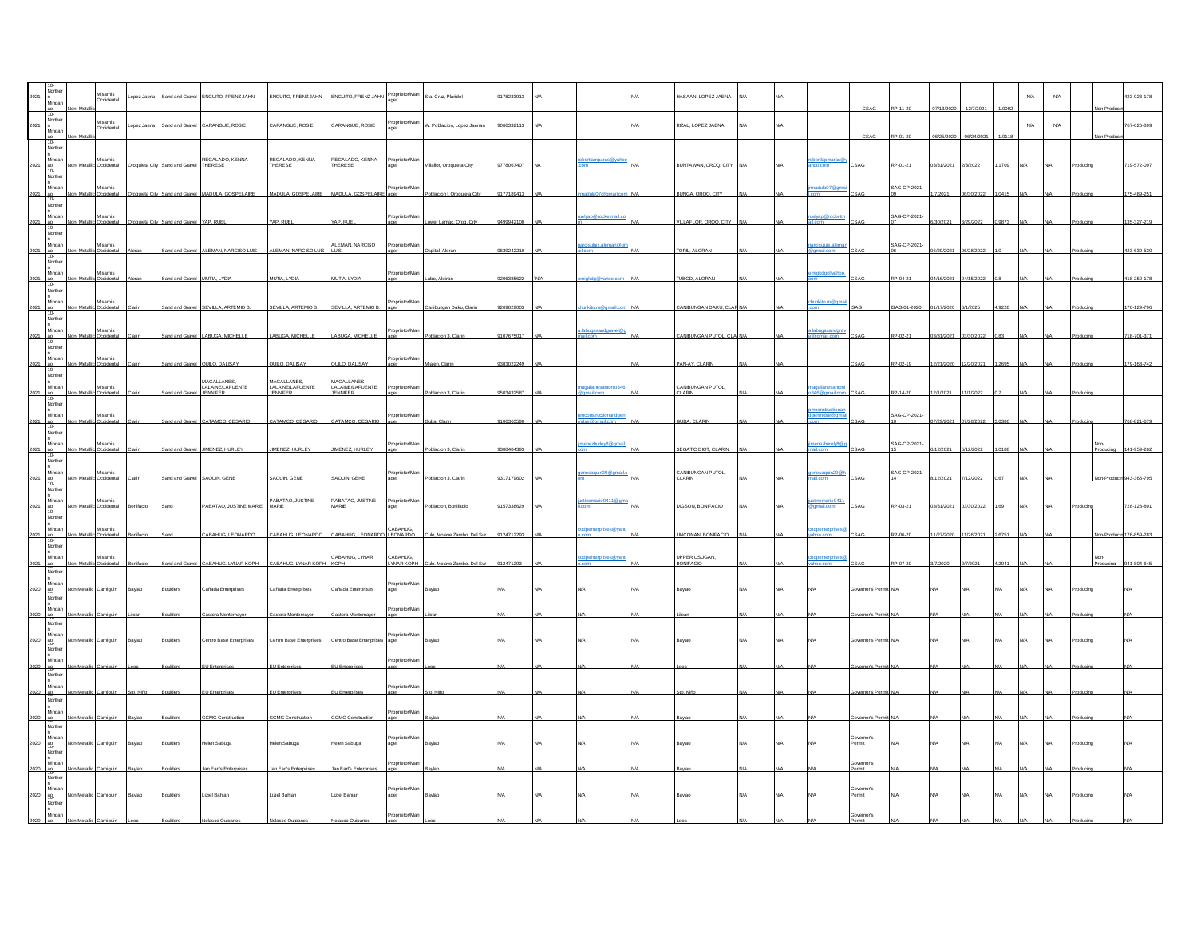|                                                                                                            |                         | Misamis<br>Occidental      | Lopez Jaena |                          | Sand and Gravel ENGUITO, FRENZ JAHN                                                 | ENGUITO, FRENZ JAHN                                | ENGUITO, FRENZ JAHN                         | Proprietor/Man<br>ager      | Sta. Cruz, Plaridel         | 9178233913 |     |                     |     | HASAAN, LOPEZ JAENA                | <b>N/A</b> |     |                                 | CSA                  |                        |                     |           | N/A                        | N/A | 423-023-178 |
|------------------------------------------------------------------------------------------------------------|-------------------------|----------------------------|-------------|--------------------------|-------------------------------------------------------------------------------------|----------------------------------------------------|---------------------------------------------|-----------------------------|-----------------------------|------------|-----|---------------------|-----|------------------------------------|------------|-----|---------------------------------|----------------------|------------------------|---------------------|-----------|----------------------------|-----|-------------|
| Norther<br>2021<br>Mindar                                                                                  |                         | Misamis<br>Occidental      | opez Jaena  |                          | Sand and Gravel CARANGUE, ROSIE                                                     | CARANGUE, ROSIE                                    | CARANGUE, ROSE                              | Proprietor/Man<br>ager      | W. Poblacion, Lopez Jaenan  | 9066332113 | N/A |                     | N/A | RIZAL, LOPEZ JAENA                 | <b>N/A</b> | N/A |                                 | CSAG                 | P-01-2                 |                     |           | ${\sf N\hspace{-.1em}/}{}$ | N/A | 767-626-899 |
| lorthe<br>dinda                                                                                            |                         | Misamis                    |             |                          | REGALADO, KENNA                                                                     | REGALADO, KENNA                                    | REGALADO, KENNA<br>THERESE                  | Proprietor/Man              |                             |            |     | bertlamparas@yah    |     |                                    |            |     | bertlapmaras                    |                      |                        |                     |           |                            |     |             |
| $10 -$<br>Norther<br>Minda                                                                                 |                         | ccident<br>lisamis         |             | and and Graw             | THERESE                                                                             | THERESE                                            |                                             | Proprietor/Mar              | Villaflor, Oroguieta City   | 9778067407 |     |                     |     | <b>SUNTAWAN, OROQ, CITY</b>        |            |     | madula07@gma                    |                      | RP-01-2<br>SAG-CP-2021 |                     |           |                            |     | 719-572-097 |
| 2021<br>Norther<br>Mindar                                                                                  |                         | <b>Incident</b><br>Misamis |             | and and Grave            | MADULA, GOSPELAIRE                                                                  | MADULA, GOSPELARE MADULA, GOSPELARE ager           |                                             | Proprietor/Mar              | Poblacion I. Oroguieta City | 9177189413 |     | wap @roo            |     | <b>BUNGA, OROQ, CITY</b>           |            |     | <b>Jelyap</b> @rocketn          |                      | SAG-CP-2021-           |                     |           |                            |     | 175-489-251 |
| 2021 ac<br>Norther                                                                                         |                         | ccident                    |             | Sand and Gravel          | YAP. RUEL                                                                           | YAP. RUEL                                          | YAP. RUEL                                   |                             | ower Lamac, Orog. City      | 9994210    |     |                     |     | VILLAFLOR, OROQ, CITY              |            |     |                                 |                      |                        | 0/2021              |           |                            |     | 35-327-219  |
| <b>Aindar</b><br>2021 ao<br>Northe                                                                         | Non-Metallic Occidental | Visamis                    |             |                          | Sand and Gravel ALEMAN, NARCISO LUIS ALEMAN, NARCISO LUIS LUIS LUIS ALEMAN, NARCISO |                                                    |                                             | Proprietor/Man              | spital. Alora               | 0639242210 |     | rcisuluis.aleman@gi |     | TORIL, ALORAN                      |            |     | arcisuluis.alema<br>mail.com    |                      | SAG-CP-2021-           | 6/29/2021 06/28/202 |           |                            |     | 23-630-530  |
| $\begin{array}{r l}\n 2021 & \text{ao} \\  & 10 \\  \hline\n & \text{Nonther} \\  & \text{n}\n\end{array}$ |                         | Misamis                    |             | nd and Gravel            | MUTIA, LYDIA                                                                        | MUTIA, LYDIA                                       | <b>MUTIA, LYDIA</b>                         | Proprietor/Mar              |                             |            |     |                     |     | <b>UBOD, ALORAN</b>                |            |     | nigkdg@yahoo                    |                      | RP-04-2                |                     |           |                            |     |             |
| 2021<br>Northe                                                                                             |                         | isamis                     |             |                          | EVILLA, ARTEMIO B                                                                   | SEVILLA, ARTEMIO B                                 | SEVILLA, ARTEMIO B.                         | roprietor/Ma                |                             |            |     |                     |     |                                    |            |     | unkito.m@a                      |                      |                        |                     |           |                            |     |             |
| Minda<br>lorthe                                                                                            |                         | lisamis                    |             |                          | ABUGA, MICHELLE                                                                     | ABUGA, MICHELLE                                    | ABUGA MICHELLE                              | Proprietor/Mar              |                             |            |     | labugasandgravel@   |     | NIRI INGAN PLITOL                  |            |     | Labugasandgi                    |                      |                        |                     |           |                            |     |             |
| $10 -$<br>Norther                                                                                          |                         | lisamis                    |             |                          | UILO, DALISAY                                                                       | QUILO, DALISAY                                     | <b>ULO, DALISAY</b>                         | roprietor/Man               |                             |            |     |                     |     | AN-AY, CLARIN                      |            |     |                                 |                      |                        |                     |           |                            |     |             |
| Mindar<br>$2021$ ao                                                                                        | Non-Metallio            | Misamis<br>Occidenta       |             | Sand and Gravel JENNIFER | MAGALLANES,<br>LALAINE/LAFUENTE                                                     | MAGALLANES,<br>LALAINE/LAFUENTE<br><b>JENNIFER</b> | MAGALLANES,<br>LALAINE/LAFUENTE<br>JENNIFER | Proprietor/Man              | Poblacion 3. Clarin         | 9503432587 |     | gallanesantonio34   |     | CANIBUNGAN PUTOL,<br><b>CLARIN</b> |            |     | agallanesantoni<br>46@nmail.com | <b>SAG</b>           | RP-14-20               | 12/1/2021           | 11/1/2022 |                            |     |             |
| Norther<br>Mindar<br>2021 ao                                                                               |                         | disamis<br>Occident        |             |                          | Sand and Gravel CATAMCO, CESARIO                                                    | CATAMCO, CESARIO                                   | CATAMCO, CESARIO                            | oprietor/Mar<br>ager        | Guba, Clari                 | 106363590  |     | constructionando    |     | <b>GUBA, CLARIN</b>                |            |     | voonstructionar<br>enmdse@gma   |                      | SAG-CP-2021            |                     |           |                            |     | 68-821-679  |
| Norther<br>Mindar                                                                                          |                         | Misamis                    |             |                          | JIMENEZ HURLEY                                                                      | <b>IMENEZ HURLEY</b>                               | <b>IMENEZ HURLEY</b>                        | roprietor/Mar               |                             | 308404393  |     | enezhurley8@gmail   |     | SEGATIC DIOT CLARIN                |            |     | nenezhurely8@                   |                      | SAG-CP-2021-           |                     |           |                            |     |             |
| lorther                                                                                                    |                         | Misamis                    |             |                          | AQUN, GENE                                                                          | SAQUIN, GENE                                       | SAQUIN, GENE                                | oprietor/Mar                |                             | 31717960   |     | 298m                |     | CANIBUNGAN PUTOL,<br>LARIN         |            |     | esaguin29@                      |                      | SAG-CP-2021-           |                     |           |                            |     |             |
| Norther<br>Mindar<br>2021                                                                                  |                         | Misamis<br>Occidenta       |             |                          | PABATAO, JUSTINE MARIE MARIE                                                        | PABATAO, JUSTINE                                   | PABATAO, JUSTINE<br>MARIE                   | Proprietor/Man              | oblacion, Bonifaci          | 157338629  |     | tinemarie0411@gr    |     | DIGSON BONFACIO                    |            |     | dinemarie0411<br>mail com       |                      | RP-03-2                |                     |           |                            |     | 28-128-89   |
| Norther<br>Minda                                                                                           |                         | disamis                    |             |                          |                                                                                     |                                                    |                                             | CARAHUG                     |                             |            |     | odpenterprises@ya   |     |                                    |            |     | dpenterprise                    |                      |                        |                     |           |                            |     |             |
| Norther<br>Mindar                                                                                          |                         | lisamis                    |             |                          | ABAHUG, LEONARDO                                                                    | CABAHUG, LEONARDO                                  | CABAHUG, LEONARD<br>CABAHUG, LYNAR          | LEONARDO<br>CABAHUG,        | Molave Zambo, Del Sur       | 124712293  |     | odpenterprises@ya   |     | NCONAN, BONIFACIO<br>UPPER USUGAN, |            |     | odpenterprises                  |                      |                        |                     |           |                            |     |             |
| Norther<br>Mindar                                                                                          |                         | dent                       |             |                          | ABAHUG, LYNAR KOPH                                                                  | CABAHUG, LYNAR KOPH KOPH                           |                                             | YNAR KOPH<br>Proprietor/Mar |                             |            |     |                     |     | <b>BONIFACIO</b>                   |            |     |                                 |                      |                        |                     |           |                            |     |             |
| 2020 ao<br>Norther<br>Minda                                                                                |                         |                            |             |                          | añada Enterorises                                                                   | Cañada Enterorises                                 | Cañada Enterorises                          | ane<br>prietor/Ma           |                             |            |     |                     |     |                                    |            |     |                                 | vernor's Per         |                        |                     |           |                            |     |             |
| 2020 80<br>Norther<br>Mindar<br>2020                                                                       |                         |                            |             |                          | ntro Base Enten                                                                     | Centro Base Enterprises                            | Centro Base Enterprise                      | Proprietor/Ma<br>aner       |                             |            |     |                     |     |                                    |            |     |                                 | nor's Pe             |                        |                     |           |                            |     |             |
| Norther<br>dindar<br>2020 an                                                                               |                         |                            |             |                          |                                                                                     |                                                    |                                             | Proprietor/Mar              |                             |            |     |                     |     |                                    |            |     |                                 |                      |                        |                     |           |                            |     |             |
| Norther<br><b>Ainda</b>                                                                                    |                         |                            |             |                          |                                                                                     | U Enter                                            |                                             | roprietor/Ma                |                             |            |     |                     |     |                                    |            |     |                                 |                      |                        |                     |           |                            |     |             |
| Norther<br>Mindar                                                                                          |                         |                            |             |                          | MG Co                                                                               | <b>SCMG Co</b>                                     | CMG Co                                      | Proprietor/Ma               |                             |            |     |                     |     |                                    |            |     |                                 | mor's l              |                        |                     |           |                            |     |             |
| Norther<br>Mindar                                                                                          |                         |                            |             |                          |                                                                                     |                                                    |                                             | roprietor/Mar               |                             |            |     |                     |     |                                    |            |     |                                 | Sovernor's<br>mit    |                        |                     |           |                            |     |             |
| Norther                                                                                                    |                         |                            |             |                          | n Earl's En                                                                         | an Earl's Enteror                                  | an Earl's Entero                            | roprietor/Ma                |                             |            |     |                     |     |                                    |            |     |                                 | Sovernor's<br>Permit |                        |                     |           |                            |     |             |
| Norther                                                                                                    |                         |                            |             |                          |                                                                                     | jziel Bahiar                                       | el Rahi:                                    | Proprietor/Mar              |                             |            |     |                     |     |                                    |            |     |                                 | Governor's<br>Permit |                        |                     |           |                            |     |             |
| orthe                                                                                                      |                         |                            |             |                          |                                                                                     |                                                    |                                             | Proprietor/Mar              |                             |            |     |                     |     |                                    |            |     |                                 | Sovernor's           |                        |                     |           |                            |     |             |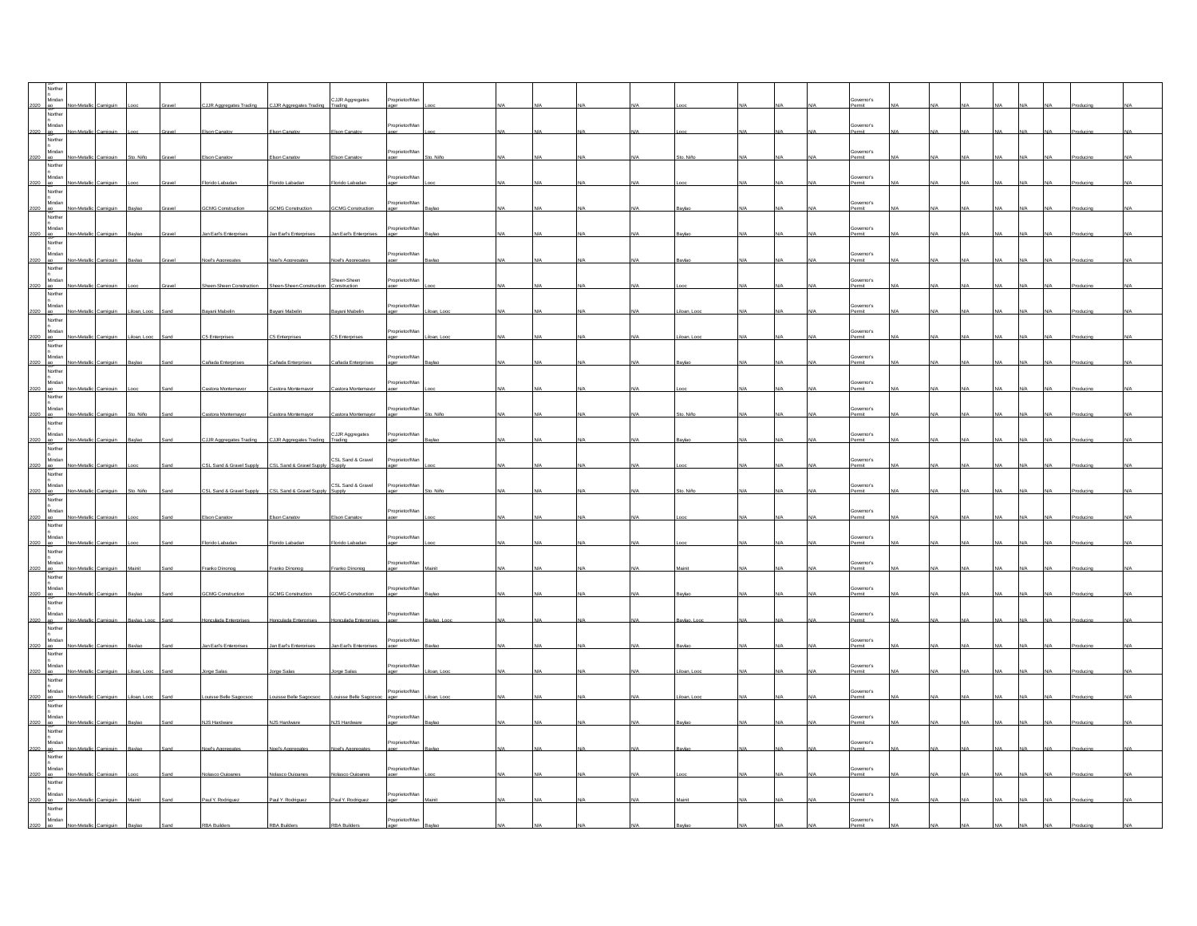| Northe                                                                                                                                                                                                                                        |              |       |                          |                          |                             |                         |  |  |  |  |                             |  |  |  |  |
|-----------------------------------------------------------------------------------------------------------------------------------------------------------------------------------------------------------------------------------------------|--------------|-------|--------------------------|--------------------------|-----------------------------|-------------------------|--|--|--|--|-----------------------------|--|--|--|--|
| n<br>Mindan                                                                                                                                                                                                                                   |              |       | UR Aggregates Trading    | C.JJR Aggregates Tradi   | CJJR Aggregates             | oprietor/Ma             |  |  |  |  | overnor's                   |  |  |  |  |
| Mindan<br>2020 ao<br>Norther<br>n<br>Mindan<br>1000 -                                                                                                                                                                                         |              |       |                          |                          |                             |                         |  |  |  |  |                             |  |  |  |  |
|                                                                                                                                                                                                                                               |              |       | Ison Canat               | Elson Canato             | Elson Canat                 | roprietor/Man<br>aer    |  |  |  |  | Governor's<br>ermit         |  |  |  |  |
| 2020 ap.<br>Norther<br>Norther<br>Mindan                                                                                                                                                                                                      |              |       |                          |                          |                             | roprietor/Mar           |  |  |  |  | Governor's                  |  |  |  |  |
| 2020 - 98.                                                                                                                                                                                                                                    |              |       | ion Can                  |                          | on Car                      |                         |  |  |  |  | ermit                       |  |  |  |  |
| n<br>Mindan                                                                                                                                                                                                                                   |              |       |                          |                          |                             | orietor/Ma              |  |  |  |  | Sovernor's<br>Permit        |  |  |  |  |
| 2020 ap<br>Norther                                                                                                                                                                                                                            |              |       | lorido Lab               | lorido Laba              |                             |                         |  |  |  |  |                             |  |  |  |  |
| $\begin{array}{ c c }\n & \text{No.} \\ \hline\n\text{Nindan} \\ \hline\n\text{Mindan} \\ \hline\n\text{No} \\ \hline\n\text{No} \\ \hline\n\text{No} \\ \hline\n\end{array}\n\begin{array}{ c c }\n\hline\n\text{No} \\ \hline\n\end{array}$ |              |       | <b>SCMG Construction</b> | <b>GCMG Construction</b> | <b>GCMG Construction</b>    | roprietor/Man<br>ager   |  |  |  |  | Governor's<br>Permit        |  |  |  |  |
|                                                                                                                                                                                                                                               |              |       |                          |                          |                             |                         |  |  |  |  |                             |  |  |  |  |
| <br>Mindan                                                                                                                                                                                                                                    |              |       | an Fari's Enternis       | Jan Earl's Enterprises   | Jan Earl's Enterprises      | roprietor/Mar<br>مممو   |  |  |  |  | Governor's<br>Permit        |  |  |  |  |
| 2020<br>R.<br>Norther<br>n<br>Mindan<br>                                                                                                                                                                                                      |              |       |                          |                          |                             |                         |  |  |  |  |                             |  |  |  |  |
| 2020 ap.                                                                                                                                                                                                                                      |              |       |                          |                          |                             | roprietor/Man           |  |  |  |  | Governor's<br>Permit        |  |  |  |  |
|                                                                                                                                                                                                                                               |              |       |                          |                          |                             | Proprietor/Man          |  |  |  |  |                             |  |  |  |  |
|                                                                                                                                                                                                                                               |              |       |                          | Sheen-Sheen Constructi   | Sheen-Sheen<br>Construction | baer                    |  |  |  |  | Governor's<br>Permit        |  |  |  |  |
| Normer<br>n<br>Mindan<br>2020<br>Norther<br>n<br>Mindan<br>2020                                                                                                                                                                               |              |       |                          |                          |                             | roprietor/Man           |  |  |  |  | Governor's                  |  |  |  |  |
| Mindan<br>PO-<br>Norther<br>n<br>Mindan<br>                                                                                                                                                                                                   |              |       | wani Mahe                | avani Mabelin            | wani Mat                    |                         |  |  |  |  | ermit                       |  |  |  |  |
|                                                                                                                                                                                                                                               |              |       | C5 Enterprise            | C5 Enterprise            | C5 Enternris                | Proprietor/Man          |  |  |  |  | Governor's<br><b>Sermit</b> |  |  |  |  |
| Mindan<br>2020 80<br>Norther<br>Mindan<br>10000 11                                                                                                                                                                                            |              |       |                          |                          |                             |                         |  |  |  |  |                             |  |  |  |  |
| 2020 80                                                                                                                                                                                                                                       |              |       | Cañada Enterori          | Cañada Enterorise        | Cañada Enteroris            | roprietor/Mar           |  |  |  |  | Governor's<br>ermit         |  |  |  |  |
|                                                                                                                                                                                                                                               |              |       |                          |                          |                             |                         |  |  |  |  |                             |  |  |  |  |
| n<br>Mindan<br>2020 - Rorther<br>Norther<br>n                                                                                                                                                                                                 |              |       | stora Montemayo          |                          | Castora Montemayor          | Proprietor/Man<br>ager  |  |  |  |  | Governor's<br>Permit        |  |  |  |  |
| n<br>Mindan                                                                                                                                                                                                                                   |              |       |                          |                          |                             | roprietor/Man           |  |  |  |  | Governor's                  |  |  |  |  |
| 2020 ap<br>Norther                                                                                                                                                                                                                            |              |       | astora Montemavo         | astora Montemavor        | Castora Montemavo           | ager                    |  |  |  |  | ermit                       |  |  |  |  |
| n<br>Mindan                                                                                                                                                                                                                                   |              |       |                          |                          | CJJR Aggregates<br>Trading  | Proprietor/Man          |  |  |  |  | Governor's<br>Permit        |  |  |  |  |
| 2020 ap<br>Norther                                                                                                                                                                                                                            |              |       | CJJR Aggregates Trading  | CJJR Aggregates Trading  |                             |                         |  |  |  |  |                             |  |  |  |  |
| n<br>Mindan                                                                                                                                                                                                                                   |              |       | CSL Sand & Gravel Supply | CSL Sand & Gravel Su     | CSL Sand & Gravel<br>Supply | roprietor/Man           |  |  |  |  | Governor's<br>Permit        |  |  |  |  |
| Mindan<br>PO-<br>Norther<br>Mindan<br>Mindan<br>Toppe Line                                                                                                                                                                                    |              |       |                          |                          |                             |                         |  |  |  |  |                             |  |  |  |  |
|                                                                                                                                                                                                                                               |              |       | SL Sand & Gravel Supply  | CSL Sand & Gravel Sup    | CSL Sand & Gravel           | Proprietor/Man          |  |  |  |  | Governor's<br>ermit         |  |  |  |  |
| $\begin{array}{r}\n 2020 \quad \text{ao} \\  \hline\n 30\n \end{array}$ Norther<br>n<br>Mindan                                                                                                                                                |              |       |                          |                          |                             | roprietor/Man           |  |  |  |  | Governor's                  |  |  |  |  |
| $rac{2020}{N \text{or} \cdot \text{R}}$                                                                                                                                                                                                       |              |       | ion Cana                 | <b>Bon Canat</b>         | kon Canato                  |                         |  |  |  |  | tima                        |  |  |  |  |
|                                                                                                                                                                                                                                               |              |       |                          |                          |                             | porietor/Ma             |  |  |  |  | Sovernor's<br>Permit        |  |  |  |  |
|                                                                                                                                                                                                                                               |              |       | orido Lab                |                          |                             |                         |  |  |  |  |                             |  |  |  |  |
| Norther<br>2020<br>2020<br>Norther<br>2020<br>Norther<br>Norther<br>n                                                                                                                                                                         | lic Camiguir |       | Franko Dinonog           | Franko Dinonog           | Franko Dinonog              | Proprietor/Man<br>ager  |  |  |  |  | Governor's<br>Permit        |  |  |  |  |
|                                                                                                                                                                                                                                               |              |       |                          |                          |                             |                         |  |  |  |  |                             |  |  |  |  |
| n<br>Mindan                                                                                                                                                                                                                                   |              |       | <b>GOMG Construct</b>    | <b>GCMG Construction</b> | GCMG Constructi             | roprietor/Mar           |  |  |  |  | Governor's<br>tima          |  |  |  |  |
| 2020 and<br>n<br>Mindan                                                                                                                                                                                                                       |              |       |                          |                          |                             |                         |  |  |  |  |                             |  |  |  |  |
| 2020 ap.                                                                                                                                                                                                                                      |              |       | tulada Ente              | culada Enteroris         | onculada Enterprise         | roprietor/Man           |  |  |  |  | Governor's<br>Permit        |  |  |  |  |
|                                                                                                                                                                                                                                               |              |       |                          |                          |                             | roprietor/Mar           |  |  |  |  |                             |  |  |  |  |
| Normer<br>n<br>Mindan<br>2020<br>Norther<br>n<br>Mindan<br>2020                                                                                                                                                                               |              |       | an Earl's Enterprise     | Jan Earl's Enterprises   | Jan Earl's Enterprises      | ager                    |  |  |  |  | Governor's<br>Permit        |  |  |  |  |
|                                                                                                                                                                                                                                               |              |       |                          |                          |                             | roprietor/Man           |  |  |  |  | Governor's                  |  |  |  |  |
| 2020 ag.<br>Norther                                                                                                                                                                                                                           |              |       | rne Sala                 | rne Sala                 | rne Salz                    |                         |  |  |  |  | ermit                       |  |  |  |  |
| n<br>Mindan                                                                                                                                                                                                                                   |              |       | uisse Belle Sanc         | suisse Belle Sagocs      | ouisse Belle Sao            | Proprietor/Man          |  |  |  |  | Governor's<br>ermit         |  |  |  |  |
| 2020 ap<br>Norther                                                                                                                                                                                                                            |              |       |                          |                          |                             |                         |  |  |  |  |                             |  |  |  |  |
| n<br>Mindan<br>2020 ag.                                                                                                                                                                                                                       |              |       | NJS Hardware             | <b>NJS Hardware</b>      | NJS Hardware                | roprietor/Mar<br>$a$ er |  |  |  |  | Governor's<br>Permit        |  |  |  |  |
|                                                                                                                                                                                                                                               |              |       |                          |                          |                             |                         |  |  |  |  |                             |  |  |  |  |
| n<br>2020 - Mindan<br>2020 - Norther<br>- C                                                                                                                                                                                                   |              |       |                          |                          |                             | Proprietor/Man          |  |  |  |  | Governor's<br>ermit         |  |  |  |  |
| n<br>Mindan                                                                                                                                                                                                                                   |              |       |                          |                          |                             | roprietor/Mar           |  |  |  |  |                             |  |  |  |  |
| 2020 ap<br>Norther                                                                                                                                                                                                                            |              |       | Iolasco Quipane          | Nolasco Quipanes         | Nolasco Quipanes            | ager                    |  |  |  |  | Governor's<br>Permit        |  |  |  |  |
| n<br>Mindan                                                                                                                                                                                                                                   |              |       |                          |                          |                             | Proprietor/Man<br>ager  |  |  |  |  | Governor's<br>Permit        |  |  |  |  |
| 2020 ap<br>Norther                                                                                                                                                                                                                            | Camiguin     | Maini | Paul Y. Rodriguez        | Paul Y. Rodriguez        | Paul Y. Rodriguez           |                         |  |  |  |  |                             |  |  |  |  |
| n<br>Mindan                                                                                                                                                                                                                                   |              |       |                          |                          |                             | roprietor/Man           |  |  |  |  | Governor's                  |  |  |  |  |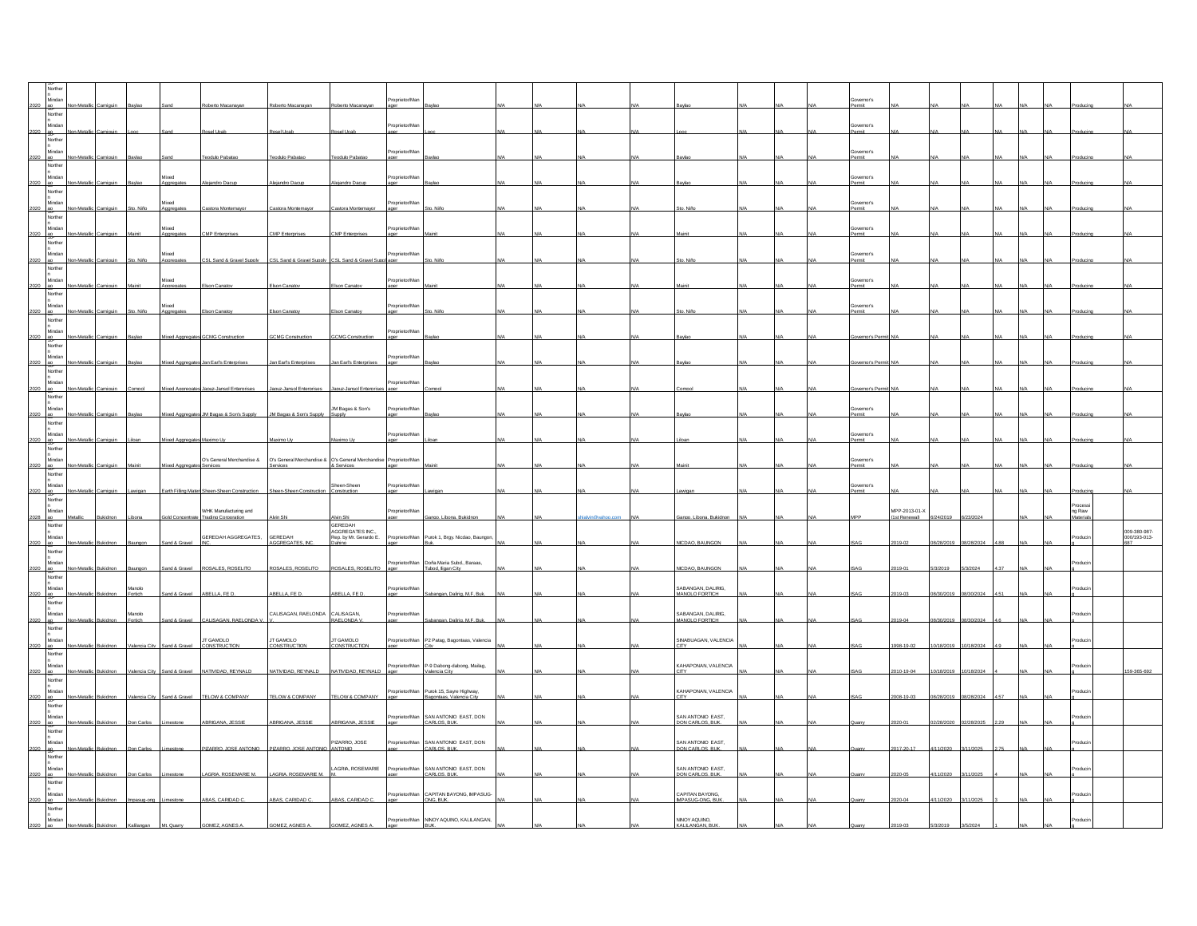|            | Mindan<br>$-80$<br>Norther   |          |                          |                            |                                                                                                       |                                                        |                                                     | roprietor/M            |                                                                 |  |  |                                       |  | Sovernor's<br>time   |                              |            |            |  |                    |                              |
|------------|------------------------------|----------|--------------------------|----------------------------|-------------------------------------------------------------------------------------------------------|--------------------------------------------------------|-----------------------------------------------------|------------------------|-----------------------------------------------------------------|--|--|---------------------------------------|--|----------------------|------------------------------|------------|------------|--|--------------------|------------------------------|
| 2020 ap    | <br>Mindan                   | Camiguin |                          |                            | <b>Rosel Ucab</b>                                                                                     | osel Ucab                                              | <b>Rosel Ucab</b>                                   | Proprietor/Ma<br>aner  |                                                                 |  |  |                                       |  | Governor's<br>Permit |                              |            |            |  |                    |                              |
|            | Norther<br>Mindar            |          |                          |                            |                                                                                                       |                                                        |                                                     | Proprietor/Ma          |                                                                 |  |  |                                       |  | Governor's           |                              |            |            |  |                    |                              |
| 2020 98    | Norther                      |          |                          |                            | odulo Paba                                                                                            | eodulo Pabatao                                         | eodulo Paba                                         | ager                   |                                                                 |  |  |                                       |  | Permit               |                              |            |            |  |                    |                              |
|            | Mindar<br>$180 -$<br>Norther |          |                          |                            |                                                                                                       |                                                        |                                                     |                        |                                                                 |  |  |                                       |  | ernor's<br>ermit     |                              |            |            |  |                    |                              |
| 2020 ap    | Mindar<br>Norther            | Camiguin | Sto. Niño                | Mixed<br>Aggregates        | Castora Montemavor                                                                                    | Castora Montemavor                                     | Castora Montemavor                                  | roprietor/Ma<br>ager   | Sto. Niño                                                       |  |  |                                       |  | Governor's<br>Permit |                              |            |            |  |                    |                              |
|            | Mindan                       |          |                          | Mixed                      | MP Entero                                                                                             | CMP Enterprises                                        | MP Enterprise                                       | Proprietor/Ma          |                                                                 |  |  |                                       |  | Governor's<br>ermit  |                              |            |            |  |                    |                              |
|            | Norther<br>Mindar            |          |                          | Mixed                      |                                                                                                       |                                                        |                                                     | Proprietor/Ma          |                                                                 |  |  |                                       |  | Sovernor's           |                              |            |            |  |                    |                              |
| 2020 89    | Norther                      |          |                          | vagrega                    | SL Sand & Gravel Supply                                                                               | CSL Sand & Gravel Supply CSL Sand & Gravel Suppl ager  |                                                     |                        |                                                                 |  |  |                                       |  | ermit                |                              |            |            |  |                    |                              |
| 2020 ap    | Mindar<br>Norther            | Camiguin |                          | Mixed<br>Aggregates        | Elson Canatov                                                                                         | Elson Canatov                                          | Elson Canatov                                       | Proprietor/Ma<br>ager  |                                                                 |  |  |                                       |  | overnor's<br>Permit  |                              |            |            |  |                    |                              |
| 2020       | Mindan                       |          | N <sub>in</sub>          | Mixed                      | kon Cana                                                                                              | son Canat                                              | kon Cana                                            | Proprietor/Ma          |                                                                 |  |  |                                       |  | Governor's<br>mit    |                              |            |            |  |                    |                              |
|            | Norther<br>Mindar<br>$-$ 80  |          |                          |                            | CMG C                                                                                                 | CMG Cor                                                | han ni                                              | Proprietor/Ma          |                                                                 |  |  |                                       |  |                      |                              |            |            |  |                    |                              |
|            | Norther<br>Minda             |          |                          |                            |                                                                                                       |                                                        |                                                     | roprietor/Ma           |                                                                 |  |  |                                       |  |                      |                              |            |            |  |                    |                              |
| 2020 ao    | Norther                      |          |                          | Mixed Aggregates           | Jan Earl's Enterprises                                                                                | Jan Earl's Enterprises                                 | Jan Earl's Enterprises                              | ager                   |                                                                 |  |  |                                       |  | vernor's P           |                              |            |            |  |                    |                              |
| 2020 98    | Mindar<br>Norther            |          |                          |                            | Mixed Aggregates Japuz-Jansol Enterprises                                                             | Japuz-Jansol Enterprises Japuz-Jansol Enterprises ager |                                                     | Proprietor/Ma          |                                                                 |  |  |                                       |  | overnor's Per        |                              |            |            |  |                    |                              |
| 2020       | Mindar<br>Norther            |          |                          | <b>Roenno A hexi</b>       | JM Bagas & Son's Supply                                                                               | JM Bagas & Son's Supply                                | JM Bagas & Son's<br>Sunnh                           | Proprietor/Ma          |                                                                 |  |  |                                       |  | Governor's<br>ermit  |                              |            |            |  |                    |                              |
| 2020 ag    | Mindar                       | Camigui  |                          | Mixed Aggregates Maximo Uy |                                                                                                       | laximo Uv                                              | laximo U                                            | Proprietor/Ma          |                                                                 |  |  |                                       |  | Governor's<br>ermit  |                              |            |            |  |                    |                              |
| 2020 ap    | Norther<br>Mindar            |          |                          |                            | O's General Merchandise & O's General Merchandise & O's General Merchandise Proprietor/Ma<br>Services | ervices                                                | Services                                            | ager                   |                                                                 |  |  |                                       |  | overnor's<br>Permit  |                              |            |            |  |                    |                              |
|            | Norther<br>n<br>Mindar       |          |                          |                            |                                                                                                       |                                                        | Sheen-Sheen                                         | Proprietor/Ma          |                                                                 |  |  |                                       |  | Governor's           |                              |            |            |  |                    |                              |
| 2020       | Norther                      |          |                          |                            | Earth Filling Mater Sheen-Sheen Construction                                                          | Sheen-Sheen Construction                               | onstruction                                         |                        |                                                                 |  |  |                                       |  | ermit                |                              |            |            |  | Processi<br>ng Raw |                              |
| <b>RCO</b> | <br>Mindan<br>Norther        |          |                          |                            | WHK Manufacturing and<br>Trading Corporat                                                             | n Sh                                                   | Mn Shi<br>GEREDAH                                   | Proprietor/Ma          | vo Libona Rukidor                                               |  |  | Libona Ruki                           |  |                      | MPP-2013-01-X<br>st Renewalt |            |            |  |                    |                              |
| 2020 ag.   | Minda<br>Norther             |          |                          | Sand & Gravel              | GEREDAH AGGREGATES,                                                                                   | <b>GEREDAH</b><br>AGGREGATES.IN                        | AGGREGATES INC.<br>Rep. by Mr. Gerardo E.<br>Dahino | Proprietor/Man         | Purok 1, Brgy. Nicdao, Baungon                                  |  |  | <b>ICDAO, BAUNGON</b>                 |  |                      |                              | 3/28/201   |            |  |                    | 009-380-987-<br>000/193-013- |
| 2020 80    | Mindar                       | Bukidnon | Baungon                  |                            | Sand & Gravel ROSALES, ROSELITO                                                                       | ROSALES, ROSELITO ROSALES, ROSELITO ager               |                                                     | Proprietor/Man         | Doña Maria Subd., Baraas,<br>Tubod. Iligan City                 |  |  | NICDAO. BAUNGON                       |  |                      | 2019-01                      | 5/3/2019   | 5/3/2024   |  |                    |                              |
|            | Norther<br>Mindan            |          | Manolo                   |                            |                                                                                                       |                                                        |                                                     | Proprietor/Man         |                                                                 |  |  | SABANGAN, DALIRIG,                    |  |                      |                              |            |            |  |                    |                              |
|            | Norther<br>Mindar            |          | Fortich<br><b>Manolo</b> | IeusaD & hns               | ARFITA FF D                                                                                           | ARELLA FE D<br>CALISAGAN, RAELONDA CALISAGAN,          | ARFIIA FF D                                         | aner                   | Sabannan Dalirin M F Ruk                                        |  |  | MANOLO FORTICH<br>SABANGAN, DALIRIG,  |  |                      |                              |            |            |  |                    |                              |
| 2020 80    | Norther                      |          | Fortich                  | and & Gravel               | CALISAGAN, RAELONDA V.                                                                                |                                                        | RAELONDA V.                                         | Proprietor/Man<br>ager | abangan, Dalirig, M.F. Bu                                       |  |  | MANOLO FORTICH                        |  |                      |                              | /30/201    |            |  |                    |                              |
| 2020 ap    | Mindar<br>Norther            |          | Valencia City            | Sand & Gravel              | <b>T GAMOLO</b><br><b>CONSTRUCTION</b>                                                                | O IOMAD TI.<br><b>CONSTRUCTION</b>                     | JT GAMOLO<br><b>CONSTRUCTION</b>                    | Proprietor/Man<br>ager | P2 Patag, Bagontaas, Valencia                                   |  |  | SINABUAGAN, VALENCIA                  |  |                      | 998-19-02                    | 10/18/2019 | 10/18/2024 |  |                    |                              |
| 2020       | Mindar<br>80                 |          | alencia City             |                            | Sand & Gravel NATIVIDAD, REYNALD                                                                      | NATIVIDAD, REYNALD NATIVIDAD, REYNALD ager             |                                                     | Proprietor/Man         | P-9 Dabong-dabong, Mailag,<br>Valencia City                     |  |  | KAHAPONAN, VALENCIA                   |  |                      | 10-19-04                     | 0/18/2019  | 0/18/202   |  |                    | 59-365-692                   |
|            | Norther<br>Mindar            |          |                          | and & Gravel               | TELOW & COMPANY                                                                                       | TELOW & COMPANY                                        | TELOW & COMPANY                                     |                        | Proprietor/Man Purok 15, Sayre Highway,<br>ontass Valencia City |  |  | KAHAPONAN, VALENCIA                   |  |                      | 8.19.03                      | 128/201    |            |  |                    |                              |
|            | Norther<br>Mindar            |          |                          |                            |                                                                                                       |                                                        |                                                     | Proprietor/Man<br>ager | SAN ANTONIO EAST, DON                                           |  |  | SAN ANTONIO EAST,                     |  |                      |                              |            |            |  |                    |                              |
| 2020 ag.   |                              |          | <b>Jon Carlos</b>        | mestone                    | ABRIGANA, JESSE                                                                                       | ABRIGANA, JESSIE                                       | ABRIGANA. JESSIE                                    |                        | CARLOS, BUK.                                                    |  |  | <b>DON CARLOS, BUK</b>                |  |                      |                              | 2/28/2020  | 2/28/2025  |  |                    |                              |
|            | Mindan<br>$180-$<br>Norther  |          |                          |                            | <b>PIZARRO, JOSE ANTONIO PIZARRO, JOSE ANTONIO ANTONIO</b>                                            |                                                        |                                                     | Proprietor/Man         | SAN ANTONIO EAST, DON<br>CARLOS, BUK,                           |  |  | SAN ANTONIO EAST,<br>DON CARLOS, BUK, |  |                      |                              |            |            |  |                    |                              |
| 2020       | Mindar<br>Norther            |          | on Carlo                 | estone                     | AGRIA, ROSEMARIE M.                                                                                   | LAGRIA, ROSEMARIE M.                                   | AGRIA, ROSEMARIE                                    | Proprietor/Man         | SAN ANTONIO EAST, DON<br>CARLOS, BUK                            |  |  | SAN ANTONIO EAST,<br>DON CARLOS, BUK. |  |                      |                              | 11/202     |            |  |                    |                              |
| 2020 80    | Mindar                       | Bukidno  | mpasug-ong               | mestone                    | ABAS, CARDAD C.                                                                                       | ABAS, CARDAD C.                                        | ABAS. CARIDAD C.                                    | Proprietor/Man<br>ager | CAPITAN BAYONG, MPASUG-<br>ONG. BUK.                            |  |  | CAPITAN BAYONG,<br>MPASUG-ONG. BUK    |  |                      |                              | 1/11/2020  | 3/11/202   |  |                    |                              |
|            | Norther<br>Mindan            |          |                          |                            |                                                                                                       |                                                        | OMEZ AGNES                                          |                        | Proprietor/Man NINOY AQUINO, KALILANGA!                         |  |  | NINOY AQUINO,                         |  |                      |                              |            |            |  |                    |                              |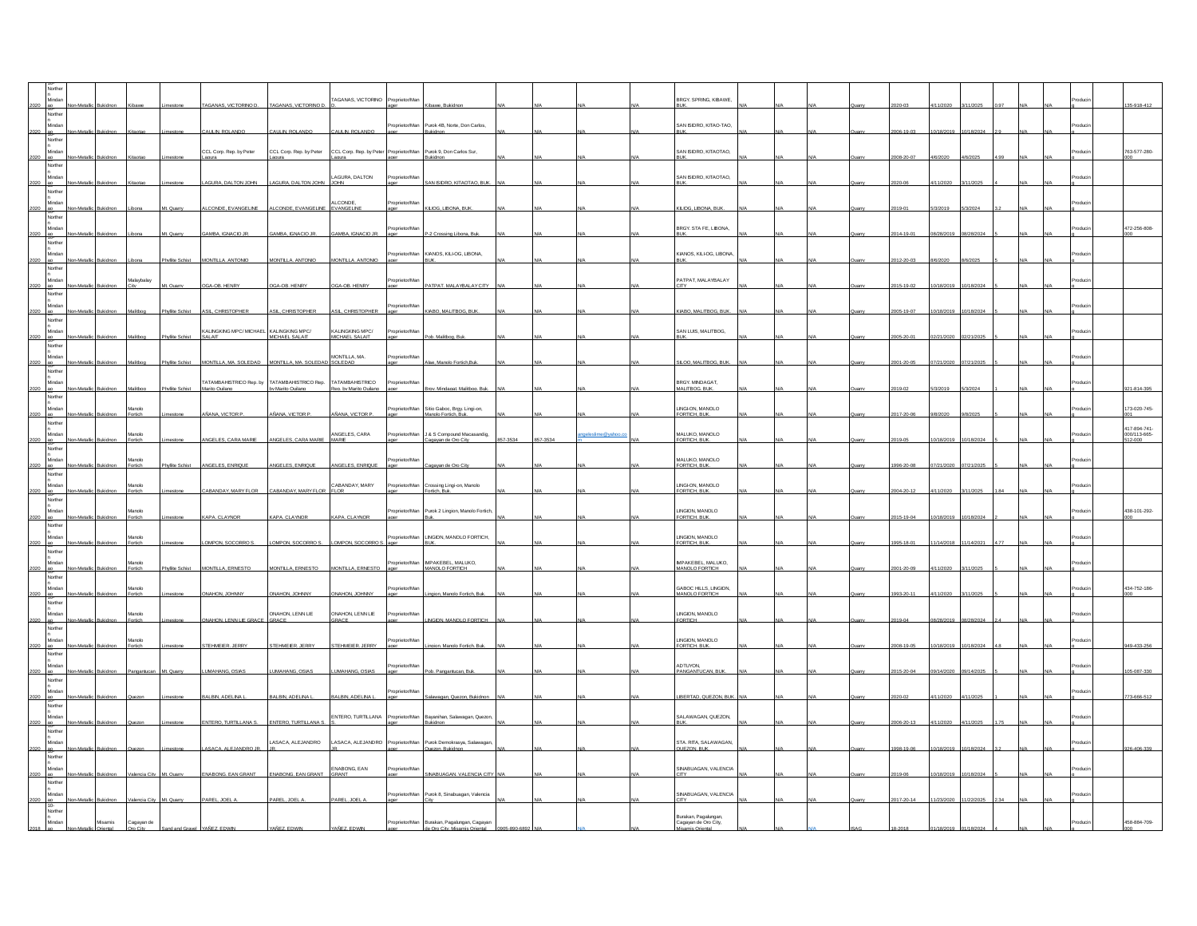|      |                                     |                 |                    |                        |                                                                                |                                       | AGANAS, VICTORINO                                               | Proprietor/Ma          |                                                                                   |          |          |                | <b>BRGY, SPRING, KIBAWE</b>                |  |  |                 |            |            |  |                                            |
|------|-------------------------------------|-----------------|--------------------|------------------------|--------------------------------------------------------------------------------|---------------------------------------|-----------------------------------------------------------------|------------------------|-----------------------------------------------------------------------------------|----------|----------|----------------|--------------------------------------------|--|--|-----------------|------------|------------|--|--------------------------------------------|
|      | orthe                               |                 |                    |                        | AGANAS, VICTORINO D.                                                           | TAGANAS, VICTORINO D.                 |                                                                 |                        |                                                                                   |          |          |                |                                            |  |  |                 |            |            |  | 35-918-412                                 |
|      | Mindar<br>2020 ao                   |                 |                    |                        | AULIN, ROLANDO                                                                 | CAULIN. ROLANDO                       | CAULIN, ROLANDO                                                 | Proprietor/Man         | Purok 4B, Norte, Don Carlos,<br>Bukidnon                                          |          |          |                | SAN ISIDRO, KITAO-TAO.                     |  |  | 06-19-03        | 0/18/2019  | 0/18/2024  |  |                                            |
|      | Norther<br><b>dinda</b>             |                 |                    |                        | CCL Corp. Rep. by Peter                                                        | CCL Corp. Rep. by Peter               | CCL Corp. Rep. by Peter Proprietor/Man Purok 9, Don Carlos Sur, |                        |                                                                                   |          |          |                | SAN ISIDRO, KITAOTAO,                      |  |  |                 |            |            |  | 763-577-280-                               |
|      | Norther                             |                 |                    |                        |                                                                                |                                       | loura                                                           |                        | iki dno                                                                           |          |          |                |                                            |  |  | 08-20-07        |            |            |  |                                            |
| 2020 | Minda                               |                 |                    |                        | AGURA, DALTON JOHN                                                             | LAGURA DALTON JOHN JOHN               | LAGURA, DALTON                                                  | Proprietor/Mar         | SAN ISIDRO, KITAOTAO, BUI                                                         |          |          |                | SAN ISIDRO, KITAOTAO,                      |  |  |                 | 11/202     |            |  |                                            |
|      | Northe<br>Mindar<br>2020 ac         |                 |                    |                        | LCONDE. EVANGELINE ALCONDE. EVANGELINE EVANGELINE                              |                                       | ALCONDE,                                                        | Proprietor/Mar         | KILIOG. LIBONA. BUK                                                               |          |          |                | <b>(LIOG. LIBONA, BUK</b>                  |  |  |                 | 3/2019     | 3/2024     |  |                                            |
|      | Northe                              |                 |                    |                        |                                                                                |                                       |                                                                 |                        |                                                                                   |          |          |                |                                            |  |  |                 |            |            |  |                                            |
|      | Norther                             |                 |                    |                        | AMBA, IGNACIO JR.                                                              | <b>SAMBA, IGNACIO JR.</b>             | GAMBA, IGNACIO JR.                                              | prietor/Mar            | -2 Crossing Libona, B                                                             |          |          |                | BRGY. STA FE, LIBONA,                      |  |  | 014-19-0        |            |            |  | 472-256-808-                               |
| 2020 |                                     |                 |                    | <b>Yivilite Schist</b> | MONTILLA, ANTONIO                                                              | MONTILLA, ANTONIO                     | MONTILLA, ANTONIO                                               | Proprietor/Man         | KIANOS, KILI-OG, LIBONA,                                                          |          |          |                | KIANOS, KILI-OG, LIBONA                    |  |  |                 |            |            |  |                                            |
|      | Norther<br>Aindar                   |                 | talaybalay         |                        |                                                                                |                                       |                                                                 | roprietor/Ma           |                                                                                   |          |          |                | ATPAT, MALAYBALAY                          |  |  |                 |            |            |  |                                            |
| 2020 | Northe                              | Bukidnon        | City               | Mt. Quarry             | OGA-OB, HENRY                                                                  | OGA-OB. HENRY                         | OGA-OB, HENRY                                                   |                        | PATPAT, MALAYBALAY CITY                                                           |          |          |                | `m                                         |  |  | 015-19-02       | 0/18/2019  | 0/18/2024  |  |                                            |
|      | <b>Aindar</b>                       |                 |                    | hvilite Schist         | <b>SL. CHRISTOPHER</b>                                                         | ASL. CHRISTOPHER                      | ASL. CHRISTOPHER                                                | Proprietor/Ma          | KIABO, MALITBOG, BUI                                                              |          |          |                | KIABO, MALITBOG, BU                        |  |  | 5-19-0          |            | 1/187      |  |                                            |
|      | <b>Jorther</b><br>dindar            |                 |                    |                        | KALINGKING MPC/ MICHAEL KALINGKING MPC/                                        |                                       | KAI INGKING MPC/                                                | roprietor/Mar          |                                                                                   |          |          |                | SAN LUIS, MALITBOG,                        |  |  |                 |            |            |  |                                            |
|      | Norther                             |                 |                    | Phyllite Schist        | SALAIT                                                                         | MICHAEL SALAIT                        | MICHAEL SALAIT                                                  |                        | b. Malitbog, Bu                                                                   |          |          |                |                                            |  |  | $5 - 20 - 0$    |            |            |  |                                            |
|      | <b>Brylo</b><br>2020 ao<br>Norther  | Bukidnor        | Malitboo           | Phyllite Schist        | MONTLLA, MA, SOLEDAD MONTLLA, MA, SOLEDAD SOLEDAD                              |                                       | MONTILLA, MA.                                                   | roprietor/Ma           | Alae. Manolo Fortich.Bul                                                          |          |          |                | SLOO, MALITBOG, BUK                        |  |  | $001 - 20 - 05$ | 7/21/2020  | 17/21/2025 |  |                                            |
|      | Mindar                              |                 |                    | hvilite Schist         | TATAMBAHISTRICO Rep. by TATAMBAHISTRICO Rep. TATAMBAHISTRICO<br>Marito Quilano | by Marito Quilano                     | Rep. by Marito Quilan                                           | oprietor/Mar           | v. Mindagat, Malitbog, Bul                                                        |          |          |                | BRGY. MINDAGAT,<br>MALITBOG, BUK.          |  |  |                 |            |            |  | $1 - 814 - 3$                              |
|      | lorthe                              |                 |                    |                        |                                                                                |                                       |                                                                 |                        |                                                                                   |          |          |                |                                            |  |  |                 |            |            |  |                                            |
|      | Minda<br>Norther                    |                 | Manolo             |                        | ÑANA VICTOR P                                                                  | AÑANA, VICTOR P.                      | AÑANA VICTOR P                                                  | Proprietor/Man         | Sitio Gaboc, Brgy. Lingi-on,<br>noh Fortich Bull                                  |          |          |                | LINGHON, MANOLO<br>ORTICH BLIK             |  |  |                 |            |            |  | 73-020-745-                                |
|      | Minda<br>2020 ao                    | Bukidnon        | Manolo<br>Fortich  | mestone                | <b>INGELES, CARA MARIE</b>                                                     | ANGELES. CARA MARIE                   | ANGELES, CARA<br>MARE                                           |                        | Proprietor/Man J & S Compound Macasandig,<br>ager Cagavan de Oro City             | 357-3534 | 857-3534 | eleslime@yahoo | MALUKO, MANOLO<br>FORTICH, BUK.            |  |  |                 | 0/18/2019  | 0/18/2024  |  | 417-894-741-<br>000/113-665-<br>$12 - 000$ |
|      | Northe                              |                 | tanolo             |                        |                                                                                |                                       |                                                                 | Proprietor/Mar         |                                                                                   |          |          |                | MALUKO, MANOLO                             |  |  |                 |            |            |  |                                            |
|      | Norther                             |                 | Fortich            |                        | <b>IGELES, ENRIQUE</b>                                                         | NGELES, ENRIQU                        | <b>VGELES, ENRIQU</b>                                           |                        |                                                                                   |          |          |                | <b>FORTICH, BUK</b>                        |  |  |                 |            |            |  |                                            |
| 2020 | Minda                               |                 | Manolo<br>Fortich  |                        | ABANDAY MARY FLOR CABANDAY MARY FLOR FLOR                                      |                                       | CABANDAY, MARY                                                  | Proprietor/Man         | Crossing Lingi-on, Manolo<br>Fortich, Buk.                                        |          |          |                | LINGHON, MANOLO<br>FORTICH, BUK.           |  |  | 04-20-12        |            | 11/20      |  |                                            |
|      | .<br>orthei<br>Mindar               |                 | Manolo             |                        |                                                                                |                                       |                                                                 | Proprietor/Man         | Purok 2 Lingion, Manolo Fortich,                                                  |          |          |                | LINGION, MANOLO                            |  |  |                 |            |            |  | 438-101-292-                               |
|      | orthe                               |                 | Fortich            |                        | GAPA CLAYNOR                                                                   | KAPA CLAYNOR                          | KAPA CLAYNOR                                                    |                        |                                                                                   |          |          |                | FORTICH BLIK                               |  |  | 115-19-04       | 1/18/2019  | 0/18/202   |  |                                            |
|      | Norther                             |                 | danaka<br>Fortich  |                        | OMPON, SOCORRO S                                                               | LOMPON, SOCORRO S. LOMPON, SOCORRO S. |                                                                 | Proprietor/Man<br>ager | LINGION, MANOLO FORTICH,                                                          |          |          |                | LINGION, MANOLO<br>ORTICH, BUK             |  |  | 995-18-01       | 1/14/2018  | 1/14/20    |  |                                            |
| 2020 | linda                               | <b>Bukidnon</b> | Manolo<br>Fortich  | Phyllite Schist        | MONTLLA, ERNESTO                                                               | MONTILLA, ERNESTO                     | MONTILLA, ERNESTO                                               | ager                   | Proprietor/Man MPAKEBEL, MALUKO,<br>MANOLO FORTICH                                |          |          |                | MPAKEBEL, MALUKO,<br>MANOLO FORTICH        |  |  | 001-20-09       | 4/11/2020  | 3/11/2025  |  |                                            |
|      | Northe<br>Mindar                    |                 | Manolo             |                        |                                                                                |                                       |                                                                 | roprietor/Mar          |                                                                                   |          |          |                | GABOC HILLS, LINGION,                      |  |  |                 |            |            |  | 434-752-186-                               |
|      | Norther                             |                 | Fortich            |                        | <b>YMAHON .IOHNNY</b>                                                          | YMAHON .IOHNNY                        | <b>ONAHON JOHNNY</b>                                            |                        | toion Manolo Fortich Bu                                                           |          |          |                | MANOLO FORTICH                             |  |  | 93-20-11        | 11/2020    | 11/202     |  |                                            |
|      | Mindar                              |                 | Manolo<br>Fortich  |                        | WAHON, LENN LIE GRACE                                                          | ONAHON, LENN LIE<br>RACE              | ONAHON, LENN LIE                                                | roprietor/Mar          | NGION, MANOLO FORTICH                                                             |          |          |                | LINGION, MANOLO<br>ORTICH                  |  |  |                 |            |            |  |                                            |
|      | Norther                             |                 | Manolo             |                        |                                                                                |                                       |                                                                 | prietor/Mar            |                                                                                   |          |          |                | LINGION, MANOLO                            |  |  |                 |            |            |  |                                            |
| 2020 | Norther                             |                 | Fortich            |                        | STEHMEIER, JERRY                                                               | STEHMEIER, JERRY                      | STEHMEIER, JERRY                                                |                        | Lingion, Manolo Fortich, Bu                                                       |          |          |                | FORTICH, BUK.                              |  |  | 008-19-05       | 0/18/2019  | 0/18/20    |  |                                            |
| 2020 |                                     | ukidno          | <b>Pannantucar</b> | Mt Quart               | <b>UMAHANG, OSIAS</b>                                                          | LUMAHANG, OSIAS                       | LUMAHANG, OSIAS                                                 | roprietor/Ma<br>ager   | Pob. Pangantucan, Buk                                                             |          |          |                | ADTUYON,<br>PANGANTUCAN, BU                |  |  | 15-20-04        | 09/14/2020 | 9/14/202   |  | 05-087-330                                 |
|      | Norther<br>Mindar                   |                 |                    |                        |                                                                                |                                       |                                                                 | Proprietor/Mar         | awanan Quezon Bukido                                                              |          |          |                |                                            |  |  |                 |            | 11/202     |  | 73-666-512                                 |
|      | orthe                               |                 |                    |                        | BALBIN, ADELINA L.                                                             | BALBIN, ADELINA L.                    | BALBIN, ADELINA L.                                              |                        |                                                                                   |          |          |                | LIBERTAD, QUEZON, BU                       |  |  |                 |            |            |  |                                            |
|      | <b>Aindar</b><br>2020 ao<br>Vorther |                 |                    |                        | ENTERO, TURTILLANA S.                                                          | ENTERO, TURTILLANA S.                 | ENTERO, TURTILLANA                                              | Proprietor/Man         | Bayanihan, Salawagan, Quezon<br>Bukidnon                                          |          |          |                | SALAWAGAN, QUEZON<br><b>RIJK</b>           |  |  | 006-20-13       | 11/2020    | /11/2025   |  |                                            |
|      | linda                               |                 |                    |                        | ASACA, ALEJANDRO JE                                                            | ASACA, ALEJANDRO                      | ASACA, ALEJANDRO                                                | Proprietor/Man         | .<br>Purok Demokrasya, Salawagan,<br>Quezon, Bukidrion                            |          |          |                | STA. RITA, SALAWAGAN<br><b>QUEZON, BUK</b> |  |  | 98-19-0         |            |            |  |                                            |
|      | Norther<br><b>Ainda</b>             |                 |                    |                        |                                                                                |                                       | ENABONG, EAN                                                    |                        |                                                                                   |          |          |                | SINABUAGAN, VALENCIA                       |  |  |                 |            |            |  |                                            |
|      | Norther                             |                 |                    |                        | ENABONG, EAN GRANT                                                             | ENABONG, EAN GRANT GRANT              |                                                                 | Proprietor/Mar         | SINABUAGAN, VALENCIA CITY                                                         |          |          |                |                                            |  |  | $19-01$         | 0/18/2019  | 0/18/202   |  |                                            |
|      | Mindar                              |                 |                    |                        | PAREL, JOEL A                                                                  | PAREL, JOEL A                         | PAREL, JOEL A                                                   | Proprietor/Man         | Purok 8, Sinabuagan, Valencia                                                     |          |          |                | SINABUAGAN, VALENCIA                       |  |  | 017-20-14       | 1/23/202   |            |  |                                            |
|      | orthe                               | simes           | Cagayan de         |                        |                                                                                |                                       |                                                                 |                        |                                                                                   |          |          |                | Burakan, Pagalungan,                       |  |  |                 |            |            |  | 458-884-709-                               |
|      |                                     |                 |                    |                        |                                                                                |                                       | ÑEZ EDWN                                                        |                        | Proprietor/Man Burakan, Pagalungan, Cagayar<br>ager de Oro City, Misamis Oriental |          |          |                | Cagayan de Oro City,                       |  |  |                 |            |            |  |                                            |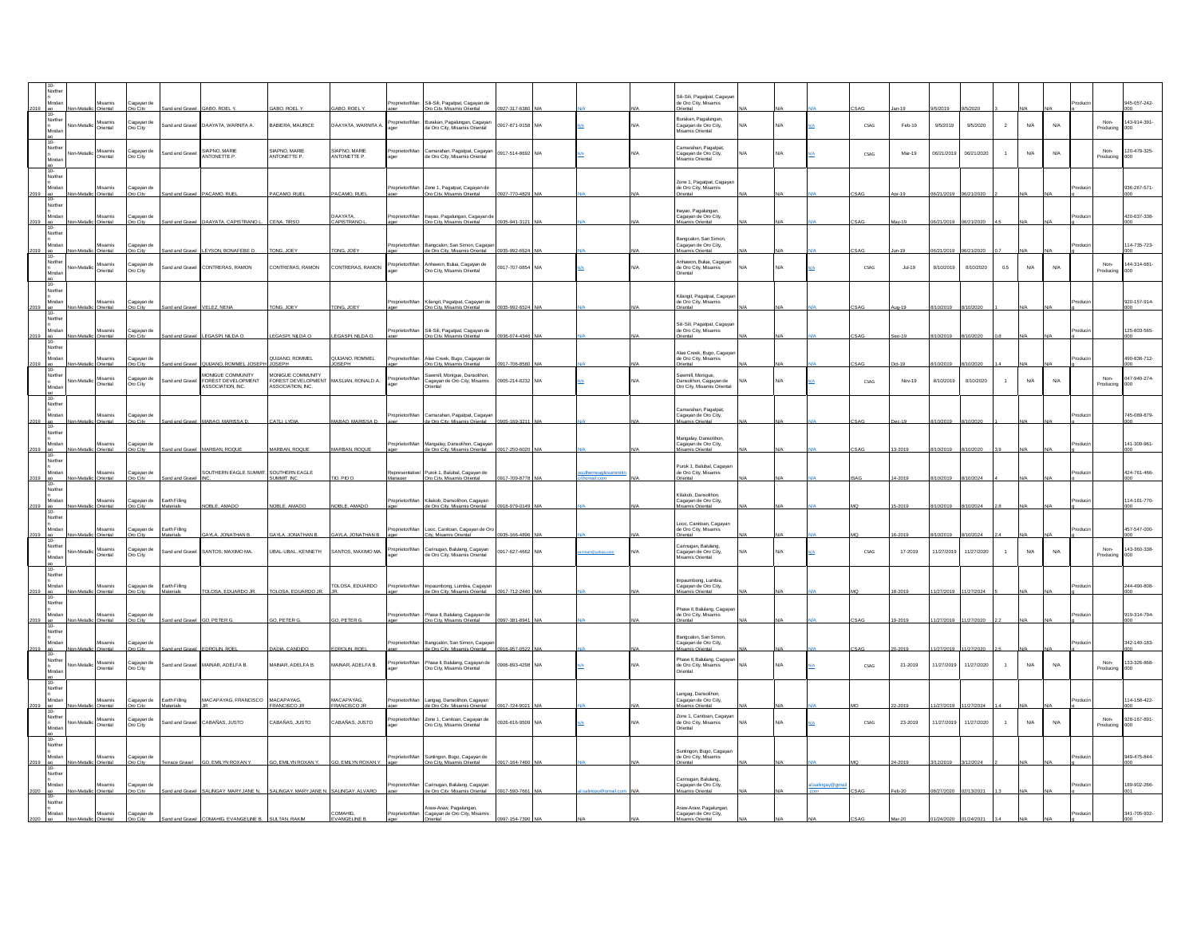|      | Minda                                     | Misamis<br>ienta                 | agayan de                 |                            | ABO, ROEL                                                   | ARO ROFI                                | ABO, ROEL                     | oprietor/Man           | Sil-Sili, Pagatpat, Cagayan de                                          |                 |     |               | Sil-Sili, Pagatpat, Cagay<br>de Oro City, Misamis                                        |            |               |            |          |            |            |                |                            |                         |                  | 945-057-242-        |
|------|-------------------------------------------|----------------------------------|---------------------------|----------------------------|-------------------------------------------------------------|-----------------------------------------|-------------------------------|------------------------|-------------------------------------------------------------------------|-----------------|-----|---------------|------------------------------------------------------------------------------------------|------------|---------------|------------|----------|------------|------------|----------------|----------------------------|-------------------------|------------------|---------------------|
|      | lorth                                     | lisamis<br>riental               | h nevene<br>Dro City      | and and Gravel             | DAAYATA, WARNITA A.                                         | <b>BABIERA, MAURICE</b>                 | <b>JAAYATA, WARNITA A</b>     | nrietor/Mar            | lurakan, Pagalungan, Cagayar<br>le Oro City, Misamis Oriental           | 917-871-9158    | N/A |               | Burakan, Pagalungan,<br>Duratur, rugarangun,<br>Cagayan de Oro City,<br>Misamis Oriental | N/A        |               | CSAG       | Feb-19   | 9/5/2019   | 9/5/2020   | $\overline{2}$ | <b>N/A</b>                 | N/A                     | Non<br>roducin   | 143-914-391-        |
|      |                                           | lisamis<br>Istreho               | agayan d<br>Dro City      | and and Gravel             | SIAPNO, MARIE<br>ANTONETTE P                                | SIAPNO, MARIE<br>ANTONETTE P.           | SIAPNO, MARIE<br>ANTONETTE P. | oprietor/Ma            | amarahan, Pagatpat, Cagayan<br>e Oro City, Misamis Oriental             | 917-514-8692    |     |               | amarahan, Pagatpat,<br>Cagayan de Oro City,<br>Misamis Oriental                          | <b>VA</b>  |               | CSAG       | Mar-19   | 06/21/2019 | 06/21/2020 |                | N/A                        | $\mathsf{N}/\mathsf{A}$ | Non<br>Producing | 120-479-325-        |
|      | 10-<br>Norther<br>Mindar<br>2019 ao       | Misamis<br>Oriental              | Cagayan de<br>Oro City    |                            | and and Gravel PACAMO, RUE                                  | PACAMO, RUEL                            | PACAMO, RUEL                  | Proprietor/Man         | Zone 1, Pagatpat, Cagayan de<br>Oro City, Misamis Oriental              | 927-770-4829    |     |               | Zone 1, Pagatpat, Cagaya<br>de Oro City, Misamis<br>Oriental                             |            |               |            |          | 6/21/201   |            |                |                            |                         |                  | 936-267-571-        |
|      | Norther<br>Minda<br>2019 ao               | Misamis                          | Cagayan de<br>Oro City    | Ind and Grave              | DAAYATA, CAPISTRANO L.                                      | CENA. TRSO                              | <b>DAAYATA</b><br>CAPISTRANO  | nnrietor/Mar           | Inayao, Pagalungan, Cagayan d<br>Oro Citv. Misamis Oriental             | 935-941-312     |     |               | hayao, Pagalungan<br>Cagayan de Oro City,<br>Misamis Oriental                            |            |               |            |          | 6/21/2019  | 06/21/20   |                |                            |                         |                  | 420-637-338-        |
| 2019 | Northe<br>Minda                           | Misamis<br>Oriental              | Cagayan de<br>Dro City    |                            | and and Gravel LEYSON BONAFEBE D.                           | TONG, JOEY                              | TONG, JOEY                    | Proprieto              | sangcalon, San Simon, Cagayar<br>de Oro City, Misamis Oriental          | 935-992-6524    |     |               | Bangcalon, San Simon<br>Cagayan de Oro City,<br><b>fisamis Oriental</b>                  |            |               | SAG        |          | 6/21/2019  | 06/21/202  |                |                            |                         |                  | 114-735-723-        |
|      | orthe<br>Minda                            | hiental                          | agayan d<br>Oro City      | and and Gravel             | CONTRERAS, RAMON                                            | CONTRERAS, RAMON                        | CONTRERAS, RAMON              |                        | hawon, Bulua, Cagayan de<br>Oro City, Misamis Oriental                  | 917-707-0854    |     |               | Anhawon, Bulua, Cagaya<br>de Oro City, Misamis<br>Oriental                               |            |               | CSAG       | $Jul-19$ | 8/10/2019  | 8/10/2020  | $0.5\,$        | N/A                        | $\mathsf{N}/\mathsf{A}$ | Producino        | 44-314-681-         |
|      | 10-<br>Norther<br>Minda<br>2019 ao        | Misamis<br>Oriental              | Cagayan de<br>Oro City    |                            | Sand and Gravel VELEZ, NENA                                 | TONG, JOEY                              | TONG, JOEY                    | Proprietor/Man         | Kilangit, Pagatpat, Cagayan de<br>Orn City Misamis Oriental             | 935-992-6524    |     |               | Kilangit, Pagatpat, Caga<br>de Oro City, Misamis<br>Oriental                             |            |               |            |          |            |            |                |                            |                         |                  | 920-157-914-        |
|      | Northe<br>Minda<br>2019 ao                | Misamis.<br>Driental             | Cagayan de<br>Dro City    |                            | nd and Gravel LEGASPL NILDA O.                              | EGASPI, NILDA C                         | EGASPL NLDA O.                |                        | ProprietorMan Sil-Sili, Pagatpat, Cagayan de<br>amis Oriental           | 36-074-434      |     |               | Sil-Sili, Pagatpat, Cagay<br>de Oro City, Misamis<br><b>riental</b>                      |            |               |            |          |            |            |                |                            |                         |                  | 125-803-565-        |
| 019  | $10 -$<br>Northe                          | <i><b>Misamis</b></i><br>Istreho | Cagayan d<br>ro City      |                            | <b>ILIANO ROMMEL JOS</b>                                    | QUUANO, ROMMEL<br><b>IOSEPH</b>         | QUIJANO, ROMMEL<br>OSEPH      | Proprietor/Man         | Alae Creek, Bugo, Cagayan de<br><b>Dro City Mis</b>                     | $7 - 706 -$     |     |               | Alae Creek, Bugo, Cagay<br>de Oro City, Misamis<br>kiental                               |            |               |            |          |            |            |                |                            |                         |                  | 490-838-712-        |
|      |                                           | Misamis<br>Driental              | agayan d<br>Dro City      | and and Grave              | MONIGUE COMMUNITY<br>OREST DEVELOPMENT<br>ASSOCIATION, INC. | MONIGUE COMMUNITY<br>FOREST DEVELOPMENT | MSLIAN, RONALD A.             | roprietor/Mar          | wmill Monique Dansolbon<br>agayan de Oro City, Misamis<br>riental       | 905-214-8232    |     |               | Sawmill Monique<br>Dansolihon, Cagayan de<br>Oro City, Misamis Orienta                   |            |               | CSAG       | Nov-19   | 8/10/2019  | 8/10/2020  |                | ${\sf N\hspace{-.1em}/}{}$ | $\mathsf{N}/\mathsf{A}$ | Producino        | 047-940-274-<br>m   |
|      | ao<br>10-<br>Norther<br>Mindar<br>2019 ao | Misamis<br>Oriental<br>Non-Metal | Cagayan de<br>Oro City    |                            | Sand and Gravel MABAO, MARISSA D.                           | CATLL LYDIA                             | MABAO, MARISSA D.             | roprietor/Mar<br>ager  | Camarahan, Pagatpat, Cagayan<br>de Oro Citv. Misamis Oriental           | 0905-169-3211   |     |               | Camarahan Panatnat<br>Cagayan de Oro City,<br>Misamis Oriental                           |            |               | <b>SAG</b> | ec-19    | /10/2019   | /10/20     |                |                            |                         |                  | 745-089-879-<br>000 |
|      | Northe<br>Mindar<br>2019 an               | Misamis<br>Intental              | Cagayan de<br>m City      | and Gray                   | MARRAN ROOUF                                                | MARRAN ROOUF                            | MARRAN ROOUF                  | Proprietor/Mar         | Mangalay, Dansolihon, Cagayar<br>de Oro City, Misamis Oriental          | 917-250-602     |     |               | Mangalay, Dansolihon,<br>Cagayan de Oro City,<br>amis Oriental                           |            |               |            |          |            |            |                |                            |                         |                  | 141-309-961-        |
|      | 10-<br>Norther<br>Minda<br>2019 ao        | Misamis<br>Istrait               | Cagayan de<br>an City     | ind and Grave              | SOUTHERN EAGLE SUMMIT, SOUTHERN EAGLE                       | SUMMIT. INC                             | <b>10. PIO C</b>              |                        | Purok 1, Balubal, Cagayan de<br><b>Dro City Misamis Orie</b>            | 17-709-8778     |     |               | Purok 1, Balubal, Cagaya<br>de Oro City, Misamis<br>lettei                               |            |               |            |          |            |            |                |                            |                         |                  | 424-761-466-        |
| 019  | Northe<br>Mindar                          | Misamis                          | Cagayan de                | Earth Filing               | <b>ORLE AMADO</b>                                           | <b>ORIF</b>                             | OBLE AMADO                    | Proprietor/Man         | Kilakob, Dansolihon, Cagayan<br>de Oro City, Misamis Oriental           |                 |     |               | Kilakob, Dansolihon,<br>Cagayan de Oro City,<br>mis Oriental                             |            |               |            |          |            |            |                |                            |                         |                  | 114-161-770-        |
| 019  | Northe<br>Minda                           | Misamis                          | Cagayan de                | arth Filing                | YLA, JONATHAN                                               | AYLA, JONATHAN                          | AYLA, JONATHAN                | Proprietor/Mar         | ooc, Canitoan, Cagayan de Oro                                           |                 |     |               | Looc, Canitoan, Cagayar<br>de Oro City, Misamis                                          |            |               |            |          |            |            |                |                            |                         |                  | 457-547-000-        |
|      | North                                     | isamis<br>riental                | Cagayan o<br>Oro City     | and and Gravel             | SANTOS, MAXIMO MA                                           | UBAL-UBAL, KENNETH                      | SANTOS, MAXIMO MA             | oprietor/Ma            | .<br>Carinugan, Balulang, Cagayan<br>le Oro City, Misamis Oriental      | 917-627-4662    | N/A | san@yahoo.com | Carinugan, Balulang,<br>Carinagur, Luxuung,<br>Cagayan de Oro City,<br>Misamis Oriental  | <b>N/A</b> |               | CSAG       | 17-2019  | 11/27/2019 | 11/27/2020 |                | N/A                        | N/A                     | Non<br>roducin   | 43-360-338-<br>000  |
|      | 10-<br>Norther<br>Minda<br>2019 ao        | Misamis<br>Oriental              | Cagayan de<br>Iro City    | Earth Filling<br>laterials | TOLOSA. EDUARDO JR.                                         | TOLOSA, EDUARDO JR.                     | TOLOSA, EDUARDO               | Proprietor/Man         | Impaumbong, Lumbia, Cagayar<br>de Oro Citv. Misamis Oriental            | 0917-712-2440 N |     |               | Impaumbong, Lumbia,<br>Cagayan de Oro City,<br>Misamis Oriental                          |            |               |            |          | 1/27/2019  |            |                |                            |                         |                  | 244-490-808         |
|      | Norther<br>Mindar<br>$\frac{2019}{10}$    | Misamis<br>Oriental<br>Non-Meta  | Cagayan de<br>Oro City    |                            | and and Gravel GO. PETER G.                                 | GO, PETER G.                            | GO. PETER G                   | Proprietor/Man         | Phase II, Balulang, Cagayan de<br>Oro City. Misamis Oriental            | 997-381-8941    |     |               | Phase II, Balulang, Cagaya<br>de Oro City, Misamis<br>Oriental                           |            |               | <b>SAG</b> | 19-2019  | 1/27/2019  | 1/27/2     |                |                            |                         |                  | 919-314-794-        |
| :019 | Norther<br>Minda                          | Misamis                          | .<br>Cagayan d<br>ro City |                            | DROLIN, RO                                                  | <b>JADIA, CANDIDO</b>                   | DROLIN, RO                    | morietor/Mar           | Bangcalon, San Simon, Cagaya<br>le Oro City, Misamis Oriental           |                 |     |               | Bangcalon, San Simon,<br>Cagayan de Oro City,<br><b>fisamis Oriental</b>                 |            |               |            |          |            |            |                |                            |                         |                  | 342-140-183-        |
|      | Northe                                    | isamis<br>LAAgh<br>ental         | Cagayan d<br>Oro City     | and and Gravel             | MAINAR, ADELFA B.                                           | MAINAR, ADELFA B.                       | MAINAR, ADELFA B.             | prietor/Ma             | <sup>9</sup> hase II, Balulang, Cagayan de<br>Xo City, Misamis Oriental | 906-893-4298    |     |               | Phase II, Balulang, Cagaya<br>de Oro City, Misamis<br><b>Driental</b>                    | VA.        |               | CSAG       | 21-2019  | 11/27/2019 | 11/27/2020 |                | N/A                        | N/A                     | Non<br>roducin   | 133-326-868         |
|      | Northe<br>Mind                            | Misamis                          | Cagayan d                 | Earth Filling              | MACAPAYAG, FRANCISCO                                        | MACAPAVAC<br>RANCISCO                   | <b>MACAPAVAC</b><br>RANCISCO  | prietor/Mar            | Langag, Dansolihon, Cagayan<br>Je Oro Citv. Misamis Oriental            | $-724 - 9$      |     |               | Langag, Dansolihon<br>Cagayan de Oro City,<br>Misamis Oriental                           |            |               |            |          |            |            |                |                            |                         |                  | 14-158-422-         |
|      | Northe                                    | <b>Misamis</b><br>riental        | h nevene<br>Oro City      | and and Gravel             | CABAÑAS, JUSTO                                              | CABAÑAS, JUSTO                          | CABAÑAS, JUSTO                | nnrietor/Mar           | Zone 1, Canitoan, Canavan de<br>to City, Misamis Oriental               | 26-616-9509     |     |               | Zone 1, Canitoan, Cagay<br>de Oro City, Misamis<br>Oriental                              |            |               | CSAG       | 23-2019  | 11/27/2019 | 11/27/2020 |                | N/A                        | N/A                     | Non<br>Producing | 928-167-891-<br>00  |
|      | 10-<br>Norther<br>Mindar<br>2019 ao       | Misamis<br>Oriental              | Cagayan de<br>Oro City    |                            | errace Gravel  GO. EMILYN ROXAN Y.                          | GO. EMILYN ROXAN Y.                     | GO. EMILYN ROXAN Y.           | Proprietor/Man<br>ager | Suntingon, Bugo, Cagayan de<br>Oro Citv. Misamis Oriental               | 917-164-7460    |     |               | Suntingon, Bugo, Cagaya<br>de Oro City, Misamis<br>Driental                              |            |               |            |          | /12/2019   | 3/12/202   |                |                            |                         |                  | 949-475-844         |
| 2020 | Northe<br>Mindar                          | Misamis<br>Oriental              | Cagayan de<br>Im City     |                            | d and Gravel SALINGAY, MARY JANE N.                         | SALINGAY, MARY JANE N. SALINGAY, ALVARO |                               | Proprietor/Man         | Carinugan, Balulang, Cagayan<br>de Oro City, Misamis Oriental           | 17-590-766      |     |               | Carinugan, Balulang,<br>Cagayan de Oro City,<br><b>Asamis Oriental</b>                   |            | Lsalingay@gma |            |          |            |            |                |                            |                         |                  | 189-902-266-        |
|      | Norther<br>Mindar                         | Misamis                          | Cagayan de                |                            |                                                             | <b>JI TAN RAKIM</b>                     | COMAHIG<br>VANGELINE B        |                        | Araw-Araw, Pagalungan,<br>Proprietor/Man Cagayan de Oro City, Misamis   |                 |     |               | Araw-Araw, Pagalungan<br>Cagayan de Oro City,<br>Misamis Oriental                        |            |               |            |          |            |            |                |                            |                         |                  | 341-705-932-        |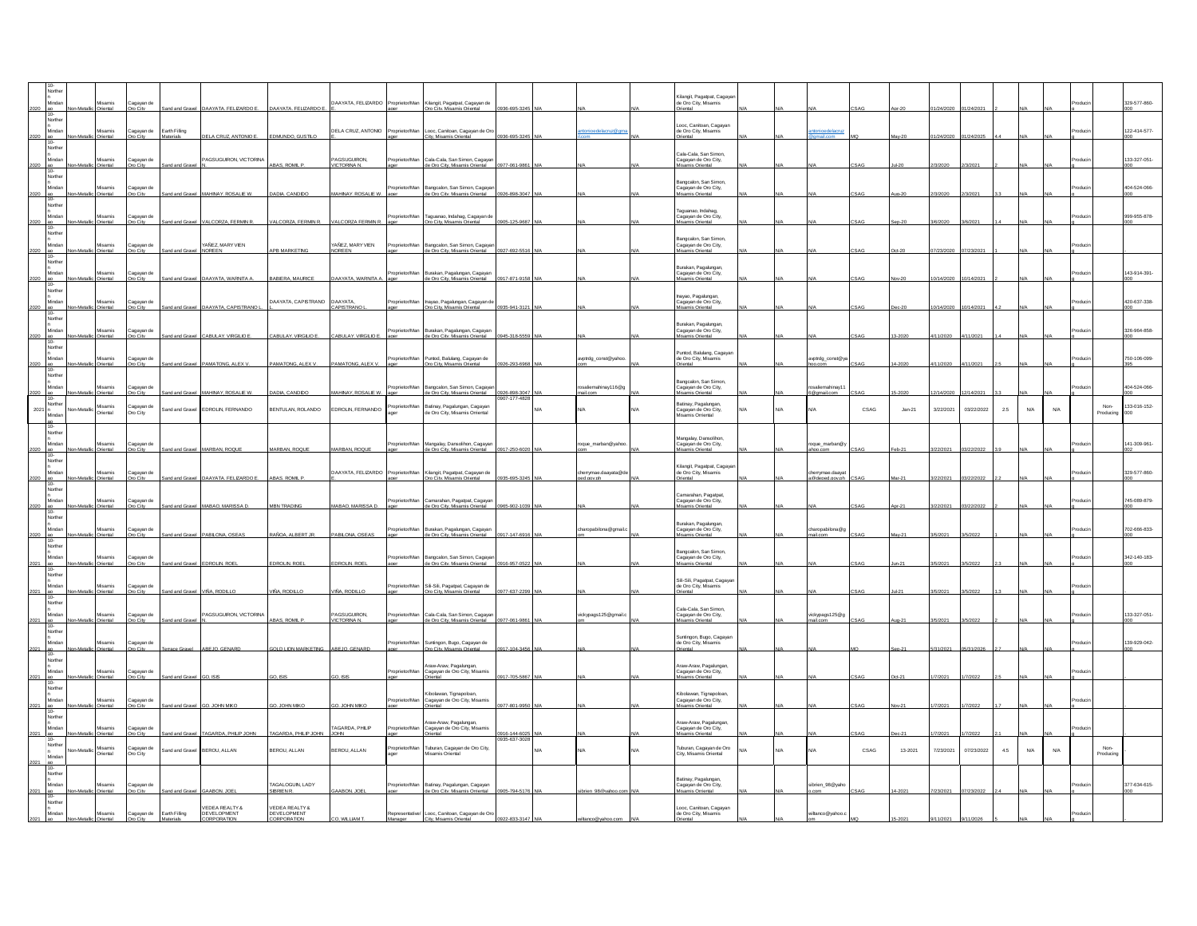|         | Mindar                                     | simesil                    | Cagayan de             | Ind and Gravel         | DAAYATA, FELIZARDO E.                     | AAYATA, FELIZARDO E.                                | DAAYATA, FELIZARDO                | roprietor/Man  | Kilangit, Pagatpat, Cagayan de<br>Oro City, Misamis Oriental                 | 36-695-32                  |     |                               | Glangit, Pagatpat, Cagay<br>de Oro City, Misamis<br>riental                              |    |                              |      |          |           |            |         |     |     | 329-577-860-                          |
|---------|--------------------------------------------|----------------------------|------------------------|------------------------|-------------------------------------------|-----------------------------------------------------|-----------------------------------|----------------|------------------------------------------------------------------------------|----------------------------|-----|-------------------------------|------------------------------------------------------------------------------------------|----|------------------------------|------|----------|-----------|------------|---------|-----|-----|---------------------------------------|
|         | Norther<br>Mindar                          | lisamis<br>Istneti         | Cagayan de<br>n City   | Earth Filing           | ELA CRUZ, ANTONIO E                       | EDMUNDO, GUSTILO                                    | DELA CRUZ, ANTONIO                | roprietor/Man  | Looc, Canitoan, Cagayan de Oro<br>ty Misamis Orienta                         |                            |     | ntonioedelacruz@              | ooc, Canitoan, Cagayan<br>de Oro City, Misamis<br>riental                                |    | tonioedelacru                |      |          |           |            |         |     |     | 122-414-577-                          |
|         | Norther<br>Mindar                          | disamis                    | Cagayan de             |                        | AGSUGUIRON, VICTORINA                     |                                                     | PAGSUGUIRON                       | oprietor/Man   | Cala-Cala, San Simon, Cagava                                                 |                            |     |                               | Cala-Cala, San Simon,<br>Cagayan de Oro City,<br>Misamis Oriental                        |    |                              |      |          |           |            |         |     |     | 133-327-051                           |
|         | Norther<br>Mindar                          | lisamis                    | Cagayan de             |                        |                                           | <b>BAS, ROMIL P</b>                                 | <b>ICTORINA N</b>                 | oprietor/Man   | le Oro City, Misa<br>Bangcalon, San Simon, Cagaya                            |                            |     |                               | Bangcalon, San Simon,<br>Cagayan de Oro City,                                            |    |                              |      |          |           |            |         |     |     | 404-524-066-                          |
|         | $10 -$<br>Norther                          |                            | ro City                |                        | <b>AHNAY, ROSALIE</b>                     | ADIA, CANDIDO                                       | MAHNAY, ROSALIE W                 |                | de Oro City, Misamis O                                                       |                            |     |                               | amis Oriental<br>Taguanao, Indahag,                                                      |    |                              |      |          |           |            |         |     |     |                                       |
| 2020    | Mindar<br>Non-Metallic Oriental<br>Norther | Misamis                    | Cagayan de<br>Oro City | Sand and Gravel        | ALCORZA, FERMIN R.                        | VALCORZA, FERMIN R.                                 | VALCORZA FERMIN R.                | oprietor/Man   | Taguanao, Indahag, Cagayan de<br>Oro City, Misamis Oriental                  | 0905-125-9687              |     |                               | Cagayan de Oro City,<br><b>Asamis Oriental</b><br>Bangcalon, San Simon                   |    |                              |      |          | 6/2020    | V6/2021    |         |     |     | 999-955-878-                          |
|         | Mindar<br>$2020$ ao 10-<br>Norther         | fisamis<br>ic Oriental     | Cagayan de<br>Dro City | Sand and Gravel NOREEN | YAÑEZ, MARY VIEN                          | APB MARKETING                                       | YAÑEZ, MARY VIEN<br><b>NOREEN</b> | prietor/Mar    | Bangcalon, San Simon, Cagayar<br>de Oro City. Misamis Oriental 0927-692-5516 |                            |     |                               | Bangouon, can cinno<br>Cagayan de Oro City,<br>Misamis Oriental                          |    |                              |      |          | 7/23/2020 | 17/23/202  |         |     |     |                                       |
|         | Mindar<br>Norther                          | Misamis                    | Cagayan de             |                        | AAYATA, WARNITA                           | ABIERA, MAURICI                                     | <b>JAAYATA, WARNITA</b>           | roprietor/Man  | Burakan, Pagalungan, Cagayan<br>de Oro City, Mis<br>in Ori                   |                            |     |                               | <b>Burakan, Pagalungan,</b><br>Cagayan de Oro City,<br>s<br>inis Oriental                |    |                              |      |          |           |            |         |     |     | 143-914-391-                          |
|         | Mindar<br>$10 -$                           | lisamis<br>viental         | Cagayan de<br>ro City  |                        | AAYATA, CAPISTRANO                        | DAAYATA, CAPISTRANO                                 | DAAYATA,<br>CAPISTRANO            | oprietor/Mar   | nayao, Pagalungan, Cagayan di<br>Oro Citv. Misamis Oriental                  |                            |     |                               | hayao, Pagalungan,<br>Cagayan de Oro City,<br>amis Oriental                              |    |                              |      |          |           |            |         |     |     | 420-637-338-                          |
|         | Norther<br>Mindar                          | Misamis                    | Cagayan de             |                        | ARULAY VIRGILIO F                         | ARULAY VIRGLIOF                                     | CARLILAY VIRGILIOF                | roprietor/Man  | Burakan, Pagalungan, Cagaya<br>to Orn City Mio                               |                            |     |                               | Burakan, Pagalungan,<br>Cagayan de Oro City,<br>amis Oriental                            |    |                              |      |          |           |            |         |     |     | 326-964-858-                          |
|         | Norther<br>Minda<br>$10 -$                 | lisamis<br>Xienta          | Cagayan d<br>ro City   |                        | AMATONG, ALEX \                           | AMATONG, ALEX V                                     | PAMATONG, ALEX V.                 | prietor/Man    | Puntod, Balulang, Cagayan de<br><b>Dro City, Misamis Orienta</b>             |                            |     | vptrdg_const@yahor            | Puntod, Balulang, Cagayar<br>de Oro City, Misamis<br>iental                              |    | vptrdg_const@y               |      |          | 1/202     |            |         |     |     | 750-106-099-                          |
|         | Norther<br>Mindar                          | Misamis<br>Oriental        | Cagayan de<br>Dro City |                        | Sand and Gravel MAHNAY, ROSALIE W.        | DADIA. CANDIDO                                      | MAHNAY, ROSALIE W.                | oprietor/Man   | Bangcalon, San Simon, Cagayar<br>de Oro City, Misamis Oriental 0926-898-3047 |                            |     | saliemahinay116@p<br>mail.com | angcalon, San Simon,<br>Cagayan de Oro City,<br>Misamis Oriental                         |    | saliemahinay1<br>6@gmail.com |      |          | 2/14/2020 | 12/14/202  |         |     |     | 404-524-066-                          |
| 2021    | Vorther                                    | <b>Misamis</b><br>hiental  | Cagayan de<br>Dro City | Sand and Grave         | EDROLIN, FERNANDO                         | BENTULAN, ROLANDO                                   | EDROLIN, FERNANDO                 | roprietor/Mar  | atinay, Pagalungan, Cagayar<br>le Oro City, Misamis Orriental                |                            | N/A | ΨA                            | Batinay, Pagalungan,<br>Cagayan de Oro City,<br>Misamis Orriental                        |    |                              | CSAG | $Jan-21$ | 3/22/2021 | 03/22/2022 | $2.5\,$ | N/A | N/A | 33-016-152-<br>Non-<br>roducin<br>nn. |
|         | Norther<br>Mindar                          | Misamis                    | Cagayan de             |                        | MARRAN ROOUF                              | <b>ARRAN ROOUF</b>                                  | MARRAN ROOUF                      | oprietor/Man   | Mangalay, Dansolihon, Cagayar<br>de Oro City Misamis Orie                    |                            |     | roque_marban@yahor            | Mangalay, Dansolihon,<br>Cagayan de Oro City,<br>.<br>nis Orienta                        |    | que_marban@                  |      |          |           |            |         |     |     | 141-309-961-                          |
|         | Vorther<br>Minda                           | lisamis                    | Cagayan d              |                        | AAYATA, FELIZARDO E                       | <b>BAS, ROML</b>                                    | DAAYATA, FELIZARDO                | prietor/Man    | Kilangit, Pagatpat, Cagayan de<br>Oro City, Misamis Oriental                 |                            |     | errymae.daayata@o             | Kilangit, Pagatpat, Cagay<br>de Oro City, Misamis                                        |    | herrymae.daay                |      |          |           |            |         |     |     | 329-577-860-                          |
|         | $10 -$<br>Norther<br>Mindar                | Misamis                    | Cagayan de             |                        |                                           |                                                     |                                   | porietor/Man   | Camarahan, Pagatpat, Cagayar<br>de Oro City. Misamis Oriental                |                            |     |                               | marahan, Pagatpat<br>Cagayan de Oro City,                                                |    |                              |      |          |           |            |         |     |     | 745-089-879-                          |
| 2020    | Norther<br>Mindar                          | Oriental<br>disamis        | Oro City               |                        | Sand and Gravel MABAO, MARISSA D          | <b>MBN TRADING</b>                                  | MABAO, MARISSA D.                 | porietor/Man   |                                                                              | 965-902-10                 |     | haropabilona@gmai             | lisamis Oriental<br>Burakan, Pagalungan,                                                 |    | aropabilona@                 |      |          |           |            |         |     |     | 702-666-833-                          |
| 2020    | $10 -$<br>Norther                          | Driental                   | Cagayan de<br>Dro City | and and Gravel         | ABILONA, OSEAS                            | AÑOA, ALBERTJI                                      | PABLONA, OSEAS                    |                | Burakan, Pagalungan, Cagayan<br>de Oro City, Misamis Oriental                | 17-147-69                  |     |                               | Duratan, Fuguru gan,<br>Cagayan de Oro City,<br>Misamis Oriental<br>Bangcalon, San Simon |    | ail.con                      |      |          |           |            |         |     |     |                                       |
| 2021    | Mindar<br>Norther                          | disamis<br>Oriental        | Cagayan de<br>to City  | nd and Gravel          | EDROLIN, ROE                              | EDROLIN, ROEI                                       | EDROLIN, ROEL                     | Proprietor/Man | Bangcalon, San Simon, Cagayar<br>de Oro City, Misamis Oriental 0916-957-05   |                            |     |                               | Cagayan de Oro City,<br>samis Oriental<br>Sil-Sili, Pagatpat, Cagaya                     |    |                              |      |          |           |            |         |     |     | 342-140-183-                          |
| 2021 ao | Mindar<br>Norther                          | simesil<br>Drienta         | Cagayan de<br>Oro Citv | and and Gravel         | /ÑA. RODILLO                              | /IÑA. RODILLO                                       | /IÑA. RODILLO                     | morietor/Man   | Sili-Sili, Pagatpat, Cagayan de<br>Oro City, Misamis Oriental                | 177-637-229                |     |                               | de Oro City, Misamis<br>riental<br>Cala-Cala, San Simor                                  |    |                              |      |          | 5/2021    |            |         |     |     |                                       |
| 2021 ao | Mindar<br>Norther                          | lisamis<br>Oriental        | Cagayan de<br>Oro City | Sand and Grave         | AGSUGUIRON, VICTORINA                     | ABAS. ROML P                                        | AGSUGUIRON,<br>VICTORINA N.       | oprietor/Mar   | .<br>Cala-Cala, San Simon, Cagayan<br>de Oro Citv. Misamis Oriental          | 0977-061-986               |     | ickypags125@gmail.            | Cagayan de Oro City,<br>Misamis Oriental                                                 |    | ickypags125@g<br>ail.con     |      |          | 5/2021    | V5/202     |         |     |     | 133-327-051-                          |
| 2021    | Mindar<br>Norther                          | disamis                    | Cagayan de<br>Iro City |                        | BEJO, GENARD                              | OLD LION MARKETING ABEJO, GENARD                    |                                   | oprietor/Mar   | Suntingon, Bugo, Cagayan de<br>Oro City, Misamis Oriental                    |                            |     |                               | Suntingon, Bugo, Cagaya<br>de Oro City, Misamis<br>kiental                               |    |                              |      |          |           |            |         |     |     | 139-929-042-                          |
| 2021    | Norther                                    | <b>Misamis</b><br>Driental | Cagayan de<br>m City   | nd and Graw            | O. ISIS                                   | O. ISIS                                             | 30. ISB                           | roprietor/Mar  | <b>Araw-Araw Panalungan</b><br>Cagayan de Oro City, Misamis                  | 17-705-58                  |     |                               | Araw-Araw, Pagalungar<br>Cagayan de Oro City,<br>mis Oriental                            |    |                              |      |          |           |            |         |     |     |                                       |
|         | Mindar                                     | simesil                    | Cagayan de<br>Dro Citv |                        | <b>D. JOHN MIKE</b>                       | . JOHN MIK                                          | O. JOHN MIKE                      | Proprietor/Man | Kibolawan, Tignapoloan<br>Cagayan de Oro City, Misamis                       | 7-801-99                   |     |                               | Kibolawan, Tignapoloan<br>Cagayan de Oro City,<br>nis Oriental                           |    |                              |      |          |           |            |         |     |     |                                       |
| 2021 a  | Norther<br>Mindar<br>10-                   | <b>lisamis</b>             | Cagayan d              |                        | <b>AGARDA, PHILIP JOHN</b>                | TAGARDA, PHILIP JOHN                                | AGARDA, PHILIP<br>OHN             | oprietor/Mar   | raw-Araw Panalunna<br>Cagayan de Oro City, Misamis                           | 916-144-602<br>935-637-302 |     |                               | raw-Araw, Pagalungan<br>Cagayan de Oro City,<br>amis Oriental                            |    |                              |      |          |           |            |         |     |     |                                       |
| 2021 ao | Northe<br>Mindar                           | lisamis<br>Istreho         | agayan d<br>Oro City   | and and Grave          | BEROU, ALLAN                              | BEROU, ALLAN                                        | BEROU, ALLAN                      | oprietor/Ma    | .<br>Luburan, Cagayan de Oro City,<br>Visamis Oriental                       |                            | N/A |                               | uburan, Cagayan de Oro<br>City, Misamis Oriental                                         | VA |                              | CSAG | 13-2021  | 7/23/2021 | 07/23/2022 | $4.5\,$ | N/A | N/A | Non-<br>roducing                      |
| 2021 ao | Norther<br>Minda                           | lisamis<br>Oriental        | Cagayan de<br>Dro City | Sand and Gravel        | GAABON, JOEL                              | TAGALOGUIN, LADY<br>SIBRIEN R.                      | AABON JOEL                        | roprietor/Man  | Batinay, Pagalungan, Cagayan<br>de Oro Citv. Misamis Orriental               | 0905-794-5176              |     | brien 98@vahoo.               | Batinay, Pagalungan,<br>Cagayan de Oro City,<br><b>fisamis Orriental</b>                 |    | brien_98@yah                 |      |          | 23/202    |            |         |     |     | 377-634-615-                          |
|         | Norther<br>Mindan                          | Misamis                    | Cagayan de             | Earth Filling          | EDEA REALTY &<br>DEVELOPMENT<br>RPORATION | VEDEA REALTY &<br>DEVELOPMENT<br><b>CORPORATION</b> | O. WILLIAM T.                     |                | Representative/ Looc, Canitoan, Cagayan de Oro<br>City Misamis Ori           |                            |     |                               | Looc, Canitoan, Cagayan<br>de Oro City, Misamis                                          |    | viltanco@vahoo.              |      |          |           |            |         |     |     |                                       |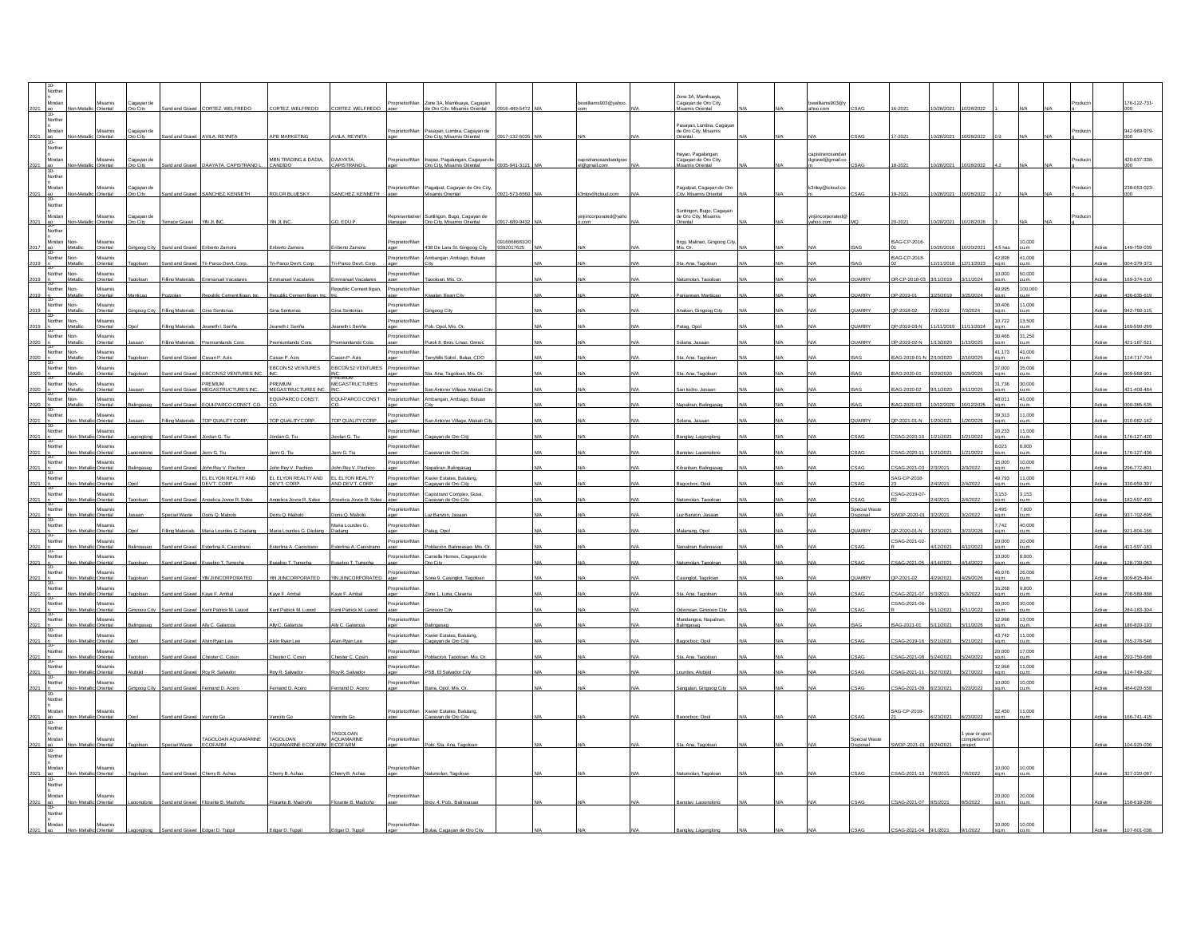|                  |                |                                 |                        |                                  |                                     |                                                    |                                     |                 |                                                                                       |                               | Zone 3A. Mambuaya                                              |  |                 |               |                     |           |                                 |                 |              |  |              |
|------------------|----------------|---------------------------------|------------------------|----------------------------------|-------------------------------------|----------------------------------------------------|-------------------------------------|-----------------|---------------------------------------------------------------------------------------|-------------------------------|----------------------------------------------------------------|--|-----------------|---------------|---------------------|-----------|---------------------------------|-----------------|--------------|--|--------------|
|                  | Minda          | Misamis<br>IstreitO             | Cagayan de<br>n City   |                                  | nd and Gravel CORTEZ WELFREDO       | CORTEZ, WELFREDO                                   | CORTEZ, WELFREDO                    | Proprietor/Man  | Zone 3A, Mambuaya, Cagayan<br>16-489-5472<br>le Oro City, Misamis Oriental            | bewilliams903@yahor           | Cagayan de Oro City,<br>mis Orienta                            |  | ewilliams903@y  |               |                     |           |                                 |                 |              |  | 176-122-731- |
|                  |                |                                 |                        |                                  |                                     |                                                    |                                     |                 |                                                                                       |                               |                                                                |  |                 |               |                     |           |                                 |                 |              |  |              |
|                  | Northe         |                                 |                        |                                  |                                     |                                                    |                                     |                 |                                                                                       |                               |                                                                |  |                 |               |                     |           |                                 |                 |              |  |              |
|                  | Minda          | Misamis<br><b>hiantal</b>       | Cagayan de<br>oro City | nd and Gravel AVILA, REYNITA     |                                     | APB MARKETING                                      | VLA, REYNITA                        |                 | Proprietor/Man Pasayan, Lumbia, Cagayan de<br>Oro City, Misamis Oriental<br>17-132-80 |                               | Pasayan, Lumbia, Cagaya<br>de Oro City, Misamis<br>iental      |  |                 |               |                     |           |                                 |                 |              |  | 942-969-979  |
|                  |                |                                 |                        |                                  |                                     |                                                    |                                     |                 |                                                                                       |                               |                                                                |  |                 |               |                     |           |                                 |                 |              |  |              |
|                  | Norther        |                                 |                        |                                  |                                     |                                                    |                                     |                 |                                                                                       |                               |                                                                |  | apistranosano   |               |                     |           |                                 |                 |              |  |              |
|                  |                | Misamis                         | Cagayan de<br>Oro City |                                  |                                     | MBN TRADING & DADIA,                               | <b>DAAYATA</b>                      | prietor/Man     | Inayao, Pagalungan, Cagayan de<br>Oro Citv. Misamis Oriental                          | capistranosan<br>el@gmail.com | hayao, Pagalungan,<br>Cagayan de Oro City,<br>Misamis Oriental |  | pravel@gmail.cr |               |                     |           |                                 |                 |              |  | 420-637-338- |
|                  |                | Driental                        |                        | and and Gravel                   | DAAYATA, CAPISTRANO                 | CANDIDO                                            | CAPISTRANO                          |                 | 0935-941-312                                                                          |                               |                                                                |  |                 |               |                     |           |                                 |                 |              |  |              |
|                  | 10-<br>Norther |                                 |                        |                                  |                                     |                                                    |                                     |                 |                                                                                       |                               |                                                                |  |                 |               |                     |           |                                 |                 |              |  |              |
|                  | <br>Mindar     | Misamis                         | Cagayan de             |                                  |                                     |                                                    |                                     | Proprietor/Man  | Pagatpat, Cagayan de Oro City,                                                        |                               | Pagatpat, Cagayan de Oro                                       |  | 3ntoy@icloud.co |               |                     |           |                                 |                 |              |  | 238-053-023- |
|                  | $10-$          | letoetal                        | ro City                | IeveaD hne hn                    | SANCHEZ KENNETH                     | <b>ROLOR BLUESKY</b>                               | SANCHEZ, KENNETH                    | aner            | amis Oriental                                                                         |                               | ity. Misamis Oriental                                          |  |                 |               |                     |           |                                 |                 |              |  |              |
|                  | Norther        |                                 |                        |                                  |                                     |                                                    |                                     |                 |                                                                                       |                               |                                                                |  |                 |               |                     |           |                                 |                 |              |  |              |
|                  | Minda          | Misamis                         | Cagayan de             |                                  |                                     |                                                    |                                     | Representative/ | Suntingon, Bugo, Cagayan de                                                           | viniiincorporated@vah         | Suntingon, Bugo, Cagaya<br>de Oro City, Misamis                |  | iniincorporated |               |                     |           |                                 |                 |              |  |              |
| 2021 ao          |                | Metallic Oriental               | Oro City               | Terrace Gravel YIN JL INC        |                                     | YIN JI. INC                                        | GO, EDU P                           | Manager         | Oro City, Misamis Oriental<br>0917-689-9432                                           |                               | Oriental                                                       |  | shoo.com        |               |                     | 0/28/2021 | 10/28/2026                      |                 |              |  |              |
|                  | Norther        |                                 |                        |                                  |                                     |                                                    |                                     |                 |                                                                                       |                               |                                                                |  |                 |               |                     |           |                                 |                 |              |  |              |
|                  | Mindan         | Misamis                         |                        |                                  |                                     |                                                    |                                     | oprietor/Ma     | 9168686810                                                                            |                               | Brgy. Malinao, Gingoog Cit                                     |  |                 |               | ISAG-CP-2016        |           |                                 |                 | 0.000        |  |              |
| $2017 - 30 - 10$ |                | Oriental                        |                        | and and Gray                     |                                     | riberto Zam                                        |                                     |                 | 38 De Lara St. Gingoog City<br>9392017625                                             |                               |                                                                |  |                 |               |                     |           |                                 |                 |              |  | 19-759-03    |
|                  | Norther        | Non-<br>Misamis<br>Oriental     |                        |                                  | Sand and Gravel Tri-Parco Dev't Com | Tri-Parco Devt. Cord                               | Tri-Parco Devt. Cord                | Proprietor/Man  | Ambangan, Ambago, Butuan                                                              |                               | Sta. Ana. Tagoloa                                              |  |                 |               | <b>ISAG-CP-2018</b> | 2/11/201  | 2/11/2023                       | 42.898<br>sa.m. | 41,000       |  | 04-379-373   |
| $2019 - n$       | Norther        |                                 |                        |                                  |                                     |                                                    |                                     |                 |                                                                                       |                               |                                                                |  |                 |               |                     |           |                                 | 10,000          | 50,000       |  |              |
| 2019             |                | Misamis<br>Oriental             |                        |                                  |                                     | mmanuel Vacal                                      | nmanuel Vac                         | Proprietor/Man  |                                                                                       |                               |                                                                |  |                 |               | QR-CP-2018-0        |           |                                 | sa.m.           |              |  | 69-374-110   |
|                  | Norther        | Misamis                         |                        |                                  |                                     |                                                    | Republic Cement ligan,              | Proprietor/Mar  |                                                                                       |                               |                                                                |  |                 |               |                     |           |                                 | 49.995          | 000.000      |  |              |
|                  |                |                                 |                        |                                  |                                     |                                                    |                                     |                 |                                                                                       |                               |                                                                |  |                 |               |                     |           |                                 |                 |              |  |              |
|                  | Norther        | Misamis<br>Oriental<br>Non      |                        |                                  |                                     |                                                    |                                     | prietor/Mar     |                                                                                       |                               |                                                                |  |                 |               |                     |           |                                 | 30,406          | 000,1        |  |              |
|                  |                |                                 |                        |                                  |                                     | ina Sentori                                        |                                     |                 |                                                                                       |                               |                                                                |  |                 |               | 2018-02             |           |                                 |                 |              |  |              |
| 2019             | Norther        | Misamis<br>Metallic<br>Oriental |                        | illing Materials                 | Jeaneth I. Seriña                   | Jeaneth I. Seriña                                  | eaneth L Seriña                     | oprietor/Mar    | ob. Opol. Mis. Or                                                                     |                               | atag, Op                                                       |  |                 | <b>JUARRY</b> | QP-2019-03-N        | 1/11/2019 | 1/11/2024                       | 10,722<br>sa.m. | 3,500<br>um. |  | 69-590-269   |
|                  | Norther        | Misamis<br>Non-                 |                        |                                  |                                     |                                                    |                                     | roprietor/Man   |                                                                                       |                               |                                                                |  |                 |               |                     |           |                                 | 30,466          | 31,250       |  |              |
|                  | $10 -$         | Oriental<br>Metal               |                        | illing Materials                 | remiumlands Co                      | remiumlands Cor                                    | emiumlands Co                       |                 | urok 8. Brav. Linao. Orm                                                              |                               |                                                                |  |                 | <b>JARRY</b>  | 0P-2019-02-N        |           |                                 | sa.m            |              |  | 1-187-52     |
|                  | Norther Non-   | Misamis                         |                        |                                  |                                     |                                                    |                                     | Proprietor/Mar  |                                                                                       |                               |                                                                |  |                 |               |                     |           |                                 | 41 173          | 41,000       |  |              |
|                  |                | Driental                        |                        | d and Grave                      |                                     | san P. Azi                                         | on D. At                            |                 |                                                                                       |                               |                                                                |  |                 |               | 1.2019-01           |           |                                 |                 |              |  |              |
|                  | Norther Non-   | Misamis<br>Driental             |                        |                                  | <b>BCON 52 VENTURES</b>             | FRCON 52 VENTURES                                  | FRCON 52 VENTURES                   | Proprietor/Mar  |                                                                                       |                               |                                                                |  |                 |               |                     |           |                                 | 37,000          | 35,000       |  |              |
|                  |                | Misamis                         |                        |                                  | PREMIUM                             | PREMIUM                                            | .<br>В⊧м∎м<br><b>MEGASTRUCTURES</b> |                 |                                                                                       |                               |                                                                |  |                 |               |                     |           |                                 | 31,736          | 30,000       |  |              |
|                  | Norther        | Oriental                        |                        |                                  | and and Gravel MEGASTRUCTURES INC   | MEGASTRUCTURES INC. INC.                           |                                     | Proprietor/Mar  | an Antonio Village. Makati Cit                                                        |                               | In Isidro                                                      |  |                 |               | SAG-2020-02         |           |                                 | sa.m.           | LM.          |  |              |
|                  | Norther        | Misamis                         |                        |                                  |                                     | EQUI-PARCO CONS'T.                                 | EQUI-PARCO CONS'T.                  | roprietor/Man   | mbangan, Ambago, Butuan                                                               |                               |                                                                |  |                 |               |                     |           |                                 | 48,011          | 41,000       |  |              |
|                  |                | Driental                        |                        | nd and Grave                     | EQUI-PARCO CONS'T, CO               |                                                    |                                     |                 |                                                                                       |                               |                                                                |  |                 |               | AC-2020-0           |           |                                 | m <sub>n</sub>  |              |  |              |
|                  | Norther        | Misamis                         |                        | ling Materials                   |                                     | TOP QUALITY CORE                                   | OP QUALITY CORP.                    | onrietor/Mar    |                                                                                       |                               |                                                                |  |                 |               |                     |           |                                 | 39.313          | 1.000        |  |              |
|                  |                | Driental                        |                        |                                  | TOP QUALITY CORI                    |                                                    |                                     |                 |                                                                                       |                               |                                                                |  |                 |               | $-2021 - 01 - 1$    |           |                                 |                 |              |  |              |
|                  | Norther        | Misamis<br>Driental             |                        |                                  |                                     |                                                    |                                     | roprietor/Mar   |                                                                                       |                               |                                                                |  |                 |               |                     |           |                                 | 20.233<br>a.m.  | 1.000        |  |              |
|                  | Norther        | Misamis                         |                        |                                  |                                     |                                                    |                                     | roprietor/Man   |                                                                                       |                               |                                                                |  |                 |               |                     |           |                                 | 8,023           | 6,000        |  |              |
| 2021             |                | Oriental                        | pnalona                | Sand and Gravel                  | Jerry G. Tiu                        | Jerry G. Tiu                                       | erry G. Tiu                         |                 | agavan de Oro Cit                                                                     |                               | nglav, Lagong                                                  |  |                 |               | CSAG-2020-11        | /21/2021  | /21/2022                        | sa.m.           | LM.          |  | 76-127-436   |
|                  | Norther        | Misamis                         |                        |                                  |                                     |                                                    |                                     | roprietor/Mar   |                                                                                       |                               |                                                                |  |                 |               |                     |           |                                 | 15,000          | 10,000       |  |              |
|                  | 10-            | IstreitC                        |                        | <b>In and Graw</b>               | ohn Rev V Pachic                    | ohn Rev V. Pachic                                  | hn Rev V. Pach                      |                 |                                                                                       |                               |                                                                |  |                 |               | SAG-2021-0          |           |                                 | m <sub>n</sub>  |              |  | 6-772-801    |
|                  | Norther        | Misamis<br>Drienta              |                        | ind and Grave                    | EL ELYON REALTY AND<br>DEVT. CORP.  | EL ELYON REALTY AND EL ELYON REALTY<br>DEVT. CORP. | ND DEVT, CORP                       | Proprietor/Man  | Xavier Estates, Balulang,<br>avan de Oro Cit                                          |                               |                                                                |  |                 |               | SAG-CP-2018-        |           |                                 | 49.793          | 11.000       |  | 30-659-397   |
|                  | Norther        | Misamis                         |                        |                                  |                                     |                                                    |                                     | Proprietor/Man  |                                                                                       |                               |                                                                |  |                 |               | CSAG-2019-07        |           |                                 | 3.153           | 3.153        |  |              |
|                  |                | Criental                        |                        | Int and Gravel                   | Annelica Jovce R. Svie              | Annelica Joune R. Sviee                            | nnetca Jouse R. Svie                | aner            | Capistrano Complex, Gusa,<br>answan de Oro City                                       |                               |                                                                |  |                 | SAG           |                     |           |                                 | sin m           | ım.          |  | 2-597-493    |
|                  | Norther        | Misamis                         |                        |                                  |                                     |                                                    |                                     | roprietor/Man   |                                                                                       |                               |                                                                |  |                 | pecial Waste  |                     |           |                                 | 2,495           | 7,000        |  |              |
| 2021             |                | Oriental                        |                        | ecial Waste                      | Doris Q. Mabo                       | Doris Q. Mabol                                     | Joris Q. Mabolo                     |                 | z Banzon, Jasaa                                                                       |                               |                                                                |  |                 | lezogi        | VDP-2020-0          |           |                                 | sa.m.           |              |  | 37-702-695   |
|                  | Norther        | Misamis                         |                        | ling Material                    |                                     | laria Lourdes G. Dar                               | Maria Lourdes G.                    | Proprietor/Mar  |                                                                                       |                               |                                                                |  |                 | <b>ARRY</b>   | -2020-01-           |           |                                 | 7,742           | 40,000       |  | 1-804-166    |
|                  |                | Driental                        |                        |                                  |                                     |                                                    |                                     |                 |                                                                                       |                               |                                                                |  |                 |               |                     |           |                                 |                 |              |  |              |
|                  | Norther        | Misamis<br>Oriental             |                        |                                  |                                     | terlina A.                                         |                                     | roprietor/Mar   |                                                                                       |                               |                                                                |  |                 |               | CSAG-2021-02        |           |                                 | 20,000<br>m.p   | 0.000        |  | 1-597-183    |
|                  | Norther        | Misamis                         |                        |                                  |                                     |                                                    |                                     | prietor/Man     | Camella Homes, Cagayan de                                                             |                               |                                                                |  |                 |               |                     |           |                                 | 10,000          | 0008         |  |              |
|                  |                | Oriental                        |                        | Int and Gravel                   | isebio T Turrech                    | sebio T Turrecht                                   | sebio T Turrechi                    |                 | In City                                                                               |                               | umolan Tanoli                                                  |  |                 |               | SAG-2021-0          |           |                                 | m ns            |              |  | 8-739-063    |
|                  | Norther        | Misamis                         |                        |                                  |                                     |                                                    |                                     | roprietor/Man   |                                                                                       |                               |                                                                |  |                 |               |                     |           |                                 | 46,076          | 26,000       |  |              |
| 2021             |                | Oriental<br>Non-Me              |                        |                                  | Sand and Gravel YIN JI INCORPORATED | YIN JI NCORPORATED                                 | YIN JI INCORPORATED                 |                 | Sona 9. Casinglot, Tagoloa                                                            |                               | singlot, Tagoloa                                               |  |                 | UARRY         | QP-2021-02          | 29/202    |                                 | sa.m.           | m            |  | 009-815-494  |
|                  | Norther        | Misamis<br>Drienta              |                        | nd and Grave                     |                                     | ave F Amba                                         | ve F Ambs                           | Proprietor/Mar  |                                                                                       |                               |                                                                |  |                 |               | SAG-2021-0          |           |                                 | 16,268          | 9,000        |  | 708-589-888  |
|                  | Norther        | Misamis                         |                        |                                  |                                     |                                                    |                                     | roprietor/Mar   |                                                                                       |                               |                                                                |  |                 |               | CSAG-2021-06-       |           |                                 | 30,000          | 30,000       |  |              |
|                  |                | Driental                        |                        | ind and Grave                    | Cent Patrick M. L                   | <b>Sent Patrick M.</b>                             | Kent Patrick M. Lu                  |                 |                                                                                       |                               |                                                                |  |                 |               |                     |           |                                 | sa.m.           |              |  |              |
|                  | Norther        | Misamis                         |                        |                                  |                                     |                                                    |                                     | Proprietor/Mar  |                                                                                       |                               | Mandangoa, Napaliran,                                          |  |                 |               |                     |           |                                 | 12,998          | 13,000       |  |              |
|                  |                | Oriental                        |                        | nd and Graw                      |                                     | <b>JIVC Ga</b>                                     |                                     |                 |                                                                                       |                               |                                                                |  |                 |               | SAG-2021-           |           |                                 | m na            |              |  | 1-820-193    |
|                  | Norther        | Misamis<br>Oriental             |                        | and and Gravel Alvin Rvan Lee    |                                     | Alvin Ryan Lee                                     | Alvin Ryan Lee                      | Proprietor/Man  | Xavier Estates, Balulang,<br>avan de Oro Cit                                          |                               | agocboc, Opol                                                  |  |                 |               | CSAG-2019-16        |           |                                 | 43,742<br>m na  | 000,1        |  | 65-278-546   |
|                  | Norther        | Misamis                         |                        |                                  |                                     |                                                    |                                     | Proprietor/Mar  |                                                                                       |                               |                                                                |  |                 |               |                     |           |                                 | 20,000          | 7.000        |  |              |
|                  |                |                                 |                        | ond Cross                        |                                     | sator C. C.                                        | $\sim$ $\sim$ $\sim$                |                 |                                                                                       |                               |                                                                |  |                 |               | SAG-2021-0          |           |                                 |                 |              |  |              |
|                  | Norther        | Misamis                         |                        |                                  |                                     |                                                    |                                     | roprietor/Mar   |                                                                                       |                               |                                                                |  |                 |               |                     |           |                                 | 12.958          | 1.000        |  |              |
|                  |                | Oriental                        |                        | and and Gravel                   | Roy R. Salvac                       | Roy R. Salvado                                     | ov R. Salvad                        |                 | SB. El Salvador                                                                       |                               |                                                                |  |                 |               | SAG-2021-1          |           |                                 | a.m.            |              |  | 14-749-182   |
| 2021             | Norther        | Misamis                         |                        | Sand and Gravel Fernand D. Acero |                                     | Fernand D. Acero                                   | Fernand D. Acero                    | roprietor/Mar   | Barra, Opol, Mis. Or                                                                  |                               | angalan. Gingoog C                                             |  |                 | SAG           | CSAG-2021-09        | 6/23/2021 | 3/23/202                        | 10,000          | 0,000        |  | 184-020-558  |
|                  | $10 -$         | lic Oriental                    | naooa City             |                                  |                                     |                                                    |                                     | ager            |                                                                                       |                               |                                                                |  |                 |               |                     |           |                                 | sa.m.           |              |  |              |
|                  | Norther        |                                 |                        |                                  |                                     |                                                    |                                     |                 |                                                                                       |                               |                                                                |  |                 |               |                     |           |                                 |                 |              |  |              |
|                  | Minda          | Misamis                         |                        |                                  |                                     |                                                    |                                     | Proprietor/Man  | Xavier Estates, Balulang,                                                             |                               |                                                                |  |                 |               | SAG-CP-2018-        |           |                                 | 32,450          | 11,000       |  |              |
|                  |                |                                 |                        |                                  |                                     |                                                    |                                     |                 | wan de Om f                                                                           |                               |                                                                |  |                 |               |                     |           |                                 |                 |              |  |              |
|                  | Norther        |                                 |                        |                                  |                                     |                                                    | TAGOLOAN                            |                 |                                                                                       |                               |                                                                |  |                 |               |                     |           |                                 |                 |              |  |              |
|                  | Mind           | Misamis                         |                        |                                  | TAGOLOAN AQUAMARINE                 | TAGOLOAN                                           | <b>AOLIAMARINE</b>                  | orietor/Ma      |                                                                                       |                               |                                                                |  |                 | pecial Waste  |                     |           | 1 year or upor<br>completion of |                 |              |  |              |
|                  | $10-$          | Drienta                         |                        |                                  | ECOFARM                             | UAMARINE ECOFARM ECOFARM                           |                                     |                 | olo, Sta, Ana, Tao                                                                    |                               |                                                                |  |                 |               | VDP-2021-0          |           |                                 |                 |              |  |              |
|                  | Norther        |                                 |                        |                                  |                                     |                                                    |                                     |                 |                                                                                       |                               |                                                                |  |                 |               |                     |           |                                 |                 |              |  |              |
|                  |                | Misamis                         |                        |                                  |                                     |                                                    |                                     |                 |                                                                                       |                               |                                                                |  |                 |               |                     |           |                                 | 0,000           | 0,000        |  |              |
|                  | $10 -$         | Oriental                        |                        | d and Gravel                     | Cherry B. Acha                      | herry B. Acha                                      |                                     |                 |                                                                                       |                               |                                                                |  |                 |               |                     |           |                                 | sa.m.           |              |  |              |
|                  | Norther        |                                 |                        |                                  |                                     |                                                    |                                     |                 |                                                                                       |                               |                                                                |  |                 |               |                     |           |                                 |                 |              |  |              |
|                  | Minds          | Misamis                         |                        |                                  |                                     |                                                    |                                     | Proprietor/Mar  |                                                                                       |                               |                                                                |  |                 |               |                     |           |                                 | 20,000          | 20,000       |  |              |
|                  |                | Oriental                        |                        |                                  | vi ant Gravel Florante B. Madron    | Florante B. Madron                                 | Florante B. Madroňo                 |                 | troy 4 Pob Ralin                                                                      |                               |                                                                |  |                 |               | SAG-2021-07         |           |                                 |                 |              |  |              |
|                  | Norther        |                                 |                        |                                  |                                     |                                                    |                                     |                 |                                                                                       |                               |                                                                |  |                 |               |                     |           |                                 |                 |              |  |              |
|                  |                |                                 |                        |                                  |                                     |                                                    |                                     |                 |                                                                                       |                               |                                                                |  |                 |               |                     |           |                                 | 10,000          | n nnn        |  |              |
|                  |                |                                 |                        |                                  |                                     |                                                    |                                     |                 |                                                                                       |                               |                                                                |  |                 |               |                     |           |                                 |                 |              |  |              |